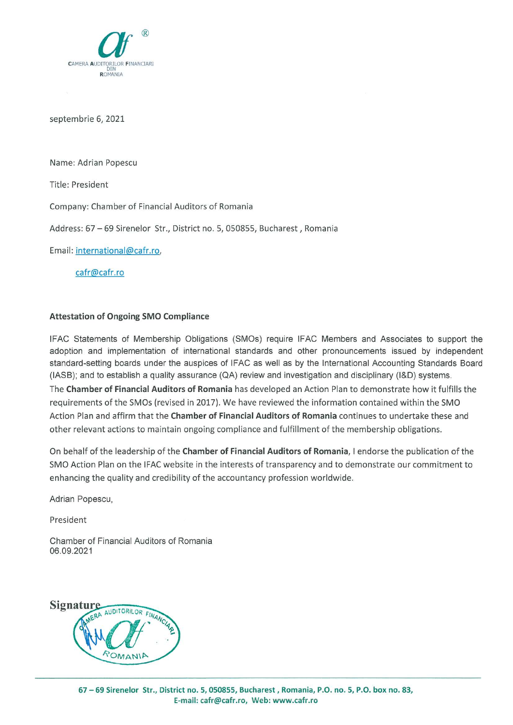

septembrie 6, 2021

Name: Adrian Popescu

Title: President

Company: Chamber of Financial Auditors of Romania

Address: 67 - 69 Sirenelor Str., District no. 5, 050855, Bucharest, Romania

Email: international@cafr.ro,

cafr@cafr.ro

# **Attestation of Ongoing SMO Compliance**

IFAC Statements of Membership Obligations (SMOs) require IFAC Members and Associates to support the adoption and implementation of international standards and other pronouncements issued by independent standard-setting boards under the auspices of IFAC as well as by the International Accounting Standards Board (IASB); and to establish a quality assurance (QA) review and investigation and disciplinary (I&D) systems. The Chamber of Financial Auditors of Romania has developed an Action Plan to demonstrate how it fulfills the requirements of the SMOs (revised in 2017). We have reviewed the information contained within the SMO Action Plan and affirm that the Chamber of Financial Auditors of Romania continues to undertake these and other relevant actions to maintain ongoing compliance and fulfillment of the membership obligations.

On behalf of the leadership of the Chamber of Financial Auditors of Romania, I endorse the publication of the SMO Action Plan on the IFAC website in the interests of transparency and to demonstrate our commitment to enhancing the quality and credibility of the accountancy profession worldwide.

Adrian Popescu,

President

Chamber of Financial Auditors of Romania 06.09.2021

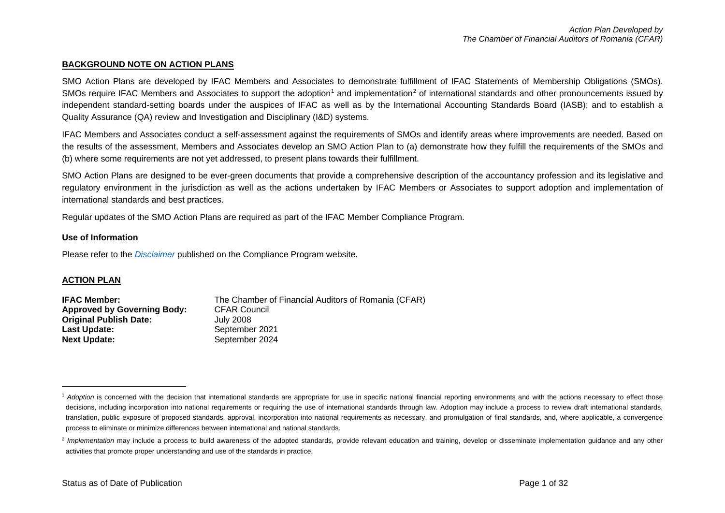#### <span id="page-1-1"></span><span id="page-1-0"></span>**BACKGROUND NOTE ON ACTION PLANS**

SMO Action Plans are developed by IFAC Members and Associates to demonstrate fulfillment of IFAC Statements of Membership Obligations (SMOs). SMOs require IFAC Members and Associates to support the adoption<sup>[1](#page-1-0)</sup> and implementation<sup>[2](#page-1-1)</sup> of international standards and other pronouncements issued by independent standard-setting boards under the auspices of IFAC as well as by the International Accounting Standards Board (IASB); and to establish a Quality Assurance (QA) review and Investigation and Disciplinary (I&D) systems.

IFAC Members and Associates conduct a self-assessment against the requirements of SMOs and identify areas where improvements are needed. Based on the results of the assessment, Members and Associates develop an SMO Action Plan to (a) demonstrate how they fulfill the requirements of the SMOs and (b) where some requirements are not yet addressed, to present plans towards their fulfillment.

SMO Action Plans are designed to be ever-green documents that provide a comprehensive description of the accountancy profession and its legislative and regulatory environment in the jurisdiction as well as the actions undertaken by IFAC Members or Associates to support adoption and implementation of international standards and best practices.

Regular updates of the SMO Action Plans are required as part of the IFAC Member Compliance Program.

#### **Use of Information**

Please refer to the *[Disclaimer](http://www.ifac.org/about-ifac/membership/members/disclaimer)* published on the Compliance Program website.

### **ACTION PLAN**

| <b>IFAC Member:</b>                | The Chamber of Financial Auditors of Romania (CFAR) |
|------------------------------------|-----------------------------------------------------|
| <b>Approved by Governing Body:</b> | <b>CFAR Council</b>                                 |
| <b>Original Publish Date:</b>      | July 2008                                           |
| Last Update:                       | September 2021                                      |
| <b>Next Update:</b>                | September 2024                                      |

<sup>&</sup>lt;sup>1</sup> Adoption is concerned with the decision that international standards are appropriate for use in specific national financial reporting environments and with the actions necessary to effect those decisions, including incorporation into national requirements or requiring the use of international standards through law. Adoption may include a process to review draft international standards, translation, public exposure of proposed standards, approval, incorporation into national requirements as necessary, and promulgation of final standards, and, where applicable, a convergence process to eliminate or minimize differences between international and national standards.

<sup>&</sup>lt;sup>2</sup> Implementation may include a process to build awareness of the adopted standards, provide relevant education and training, develop or disseminate implementation guidance and any other activities that promote proper understanding and use of the standards in practice.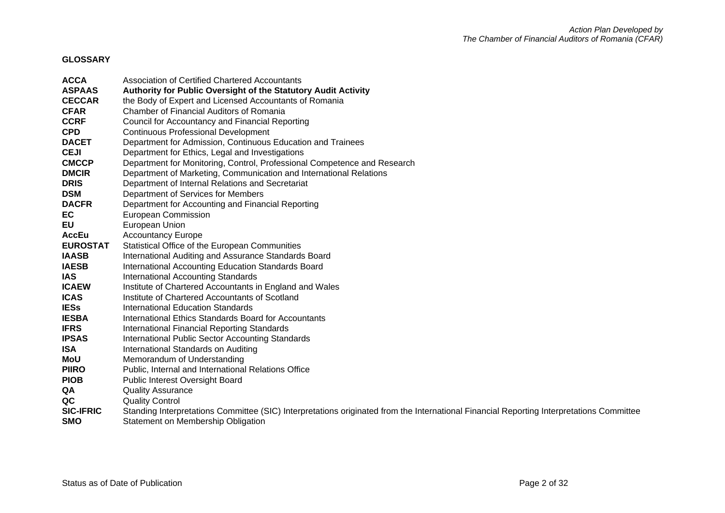# **GLOSSARY**

| <b>ACCA</b>      | <b>Association of Certified Chartered Accountants</b>                                                                                    |
|------------------|------------------------------------------------------------------------------------------------------------------------------------------|
| <b>ASPAAS</b>    | Authority for Public Oversight of the Statutory Audit Activity                                                                           |
| <b>CECCAR</b>    | the Body of Expert and Licensed Accountants of Romania                                                                                   |
| <b>CFAR</b>      | Chamber of Financial Auditors of Romania                                                                                                 |
| <b>CCRF</b>      | Council for Accountancy and Financial Reporting                                                                                          |
| <b>CPD</b>       | <b>Continuous Professional Development</b>                                                                                               |
| <b>DACET</b>     | Department for Admission, Continuous Education and Trainees                                                                              |
| <b>CEJI</b>      | Department for Ethics, Legal and Investigations                                                                                          |
| <b>CMCCP</b>     | Department for Monitoring, Control, Professional Competence and Research                                                                 |
| <b>DMCIR</b>     | Department of Marketing, Communication and International Relations                                                                       |
| <b>DRIS</b>      | Department of Internal Relations and Secretariat                                                                                         |
| <b>DSM</b>       | Department of Services for Members                                                                                                       |
| <b>DACFR</b>     | Department for Accounting and Financial Reporting                                                                                        |
| EC               | European Commission                                                                                                                      |
| EU               | European Union                                                                                                                           |
| <b>AccEu</b>     | <b>Accountancy Europe</b>                                                                                                                |
| <b>EUROSTAT</b>  | Statistical Office of the European Communities                                                                                           |
| <b>IAASB</b>     | International Auditing and Assurance Standards Board                                                                                     |
| <b>IAESB</b>     | International Accounting Education Standards Board                                                                                       |
| <b>IAS</b>       | <b>International Accounting Standards</b>                                                                                                |
| <b>ICAEW</b>     | Institute of Chartered Accountants in England and Wales                                                                                  |
| <b>ICAS</b>      | Institute of Chartered Accountants of Scotland                                                                                           |
| <b>IESs</b>      | International Education Standards                                                                                                        |
| <b>IESBA</b>     | International Ethics Standards Board for Accountants                                                                                     |
| <b>IFRS</b>      | International Financial Reporting Standards                                                                                              |
| <b>IPSAS</b>     | International Public Sector Accounting Standards                                                                                         |
| <b>ISA</b>       | International Standards on Auditing                                                                                                      |
| MoU              | Memorandum of Understanding                                                                                                              |
| <b>PIIRO</b>     | Public, Internal and International Relations Office                                                                                      |
| <b>PIOB</b>      | <b>Public Interest Oversight Board</b>                                                                                                   |
| QA               | <b>Quality Assurance</b>                                                                                                                 |
| QC               | <b>Quality Control</b>                                                                                                                   |
| <b>SIC-IFRIC</b> | Standing Interpretations Committee (SIC) Interpretations originated from the International Financial Reporting Interpretations Committee |
| <b>SMO</b>       | Statement on Membership Obligation                                                                                                       |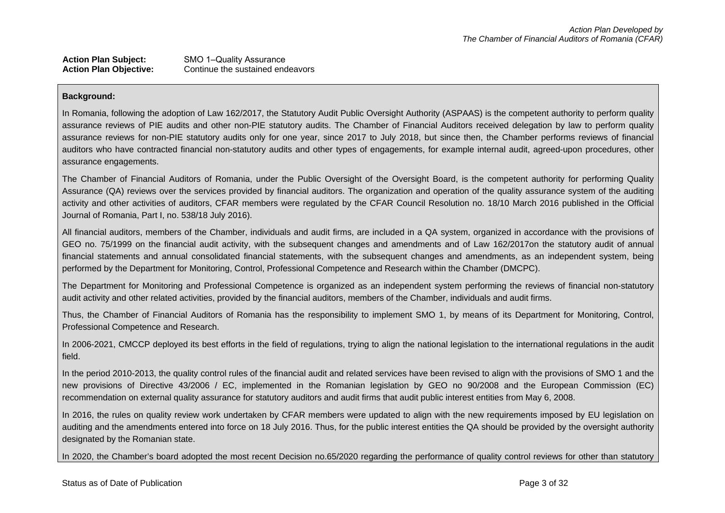### Action Plan Subject: SMO 1-Quality Assurance<br> **Action Plan Objective:** Continue the sustained end Continue the sustained endeavors

### **Background:**

In Romania, following the adoption of Law 162/2017, the Statutory Audit Public Oversight Authority (ASPAAS) is the competent authority to perform quality assurance reviews of PIE audits and other non-PIE statutory audits. The Chamber of Financial Auditors received delegation by law to perform quality assurance reviews for non-PIE statutory audits only for one year, since 2017 to July 2018, but since then, the Chamber performs reviews of financial auditors who have contracted financial non-statutory audits and other types of engagements, for example internal audit, agreed-upon procedures, other assurance engagements.

The Chamber of Financial Auditors of Romania, under the Public Oversight of the Oversight Board, is the competent authority for performing Quality Assurance (QA) reviews over the services provided by financial auditors. The organization and operation of the quality assurance system of the auditing activity and other activities of auditors, CFAR members were regulated by the CFAR Council Resolution no. 18/10 March 2016 published in the Official Journal of Romania, Part I, no. 538/18 July 2016).

All financial auditors, members of the Chamber, individuals and audit firms, are included in a QA system, organized in accordance with the provisions of GEO no. 75/1999 on the financial audit activity, with the subsequent changes and amendments and of Law 162/2017on the statutory audit of annual financial statements and annual consolidated financial statements, with the subsequent changes and amendments, as an independent system, being performed by the Department for Monitoring, Control, Professional Competence and Research within the Chamber (DMCPC).

The Department for Monitoring and Professional Competence is organized as an independent system performing the reviews of financial non-statutory audit activity and other related activities, provided by the financial auditors, members of the Chamber, individuals and audit firms.

Thus, the Chamber of Financial Auditors of Romania has the responsibility to implement SMO 1, by means of its Department for Monitoring, Control, Professional Competence and Research.

In 2006-2021, CMCCP deployed its best efforts in the field of regulations, trying to align the national legislation to the international regulations in the audit field.

In the period 2010-2013, the quality control rules of the financial audit and related services have been revised to align with the provisions of SMO 1 and the new provisions of Directive 43/2006 / EC, implemented in the Romanian legislation by GEO no 90/2008 and the European Commission (EC) recommendation on external quality assurance for statutory auditors and audit firms that audit public interest entities from May 6, 2008.

In 2016, the rules on quality review work undertaken by CFAR members were updated to align with the new requirements imposed by EU legislation on auditing and the amendments entered into force on 18 July 2016. Thus, for the public interest entities the QA should be provided by the oversight authority designated by the Romanian state.

In 2020, the Chamber's board adopted the most recent Decision no.65/2020 regarding the performance of quality control reviews for other than statutory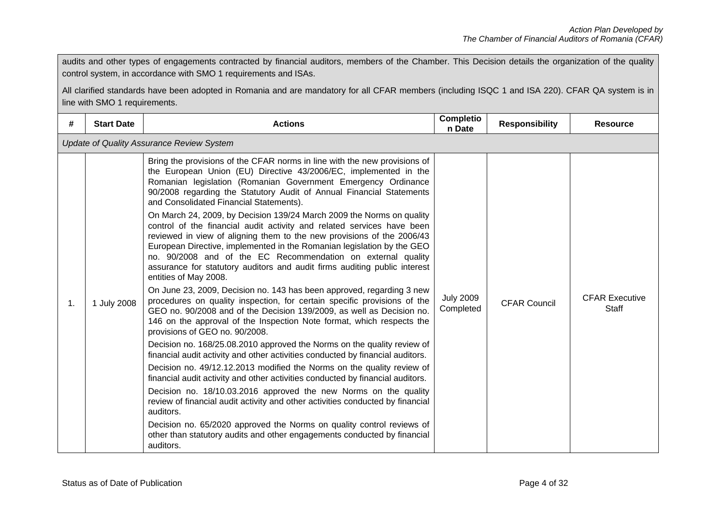audits and other types of engagements contracted by financial auditors, members of the Chamber. This Decision details the organization of the quality control system, in accordance with SMO 1 requirements and ISAs.

All clarified standards have been adopted in Romania and are mandatory for all CFAR members (including ISQC 1 and ISA 220). CFAR QA system is in line with SMO 1 requirements.

| #  | <b>Start Date</b>                                | <b>Actions</b>                                                                                                                                                                                                                                                                                                                                                                                                                                                            | Completio<br>n Date           | <b>Responsibility</b> | <b>Resource</b>                |  |
|----|--------------------------------------------------|---------------------------------------------------------------------------------------------------------------------------------------------------------------------------------------------------------------------------------------------------------------------------------------------------------------------------------------------------------------------------------------------------------------------------------------------------------------------------|-------------------------------|-----------------------|--------------------------------|--|
|    | <b>Update of Quality Assurance Review System</b> |                                                                                                                                                                                                                                                                                                                                                                                                                                                                           |                               |                       |                                |  |
|    |                                                  | Bring the provisions of the CFAR norms in line with the new provisions of<br>the European Union (EU) Directive 43/2006/EC, implemented in the<br>Romanian legislation (Romanian Government Emergency Ordinance<br>90/2008 regarding the Statutory Audit of Annual Financial Statements<br>and Consolidated Financial Statements).                                                                                                                                         |                               |                       |                                |  |
|    |                                                  | On March 24, 2009, by Decision 139/24 March 2009 the Norms on quality<br>control of the financial audit activity and related services have been<br>reviewed in view of aligning them to the new provisions of the 2006/43<br>European Directive, implemented in the Romanian legislation by the GEO<br>no. 90/2008 and of the EC Recommendation on external quality<br>assurance for statutory auditors and audit firms auditing public interest<br>entities of May 2008. |                               |                       |                                |  |
| 1. | 1 July 2008                                      | On June 23, 2009, Decision no. 143 has been approved, regarding 3 new<br>procedures on quality inspection, for certain specific provisions of the<br>GEO no. 90/2008 and of the Decision 139/2009, as well as Decision no.<br>146 on the approval of the Inspection Note format, which respects the<br>provisions of GEO no. 90/2008.                                                                                                                                     | <b>July 2009</b><br>Completed | <b>CFAR Council</b>   | <b>CFAR Executive</b><br>Staff |  |
|    |                                                  | Decision no. 168/25.08.2010 approved the Norms on the quality review of<br>financial audit activity and other activities conducted by financial auditors.                                                                                                                                                                                                                                                                                                                 |                               |                       |                                |  |
|    |                                                  | Decision no. 49/12.12.2013 modified the Norms on the quality review of<br>financial audit activity and other activities conducted by financial auditors.                                                                                                                                                                                                                                                                                                                  |                               |                       |                                |  |
|    |                                                  | Decision no. 18/10.03.2016 approved the new Norms on the quality<br>review of financial audit activity and other activities conducted by financial<br>auditors.                                                                                                                                                                                                                                                                                                           |                               |                       |                                |  |
|    |                                                  | Decision no. 65/2020 approved the Norms on quality control reviews of<br>other than statutory audits and other engagements conducted by financial<br>auditors.                                                                                                                                                                                                                                                                                                            |                               |                       |                                |  |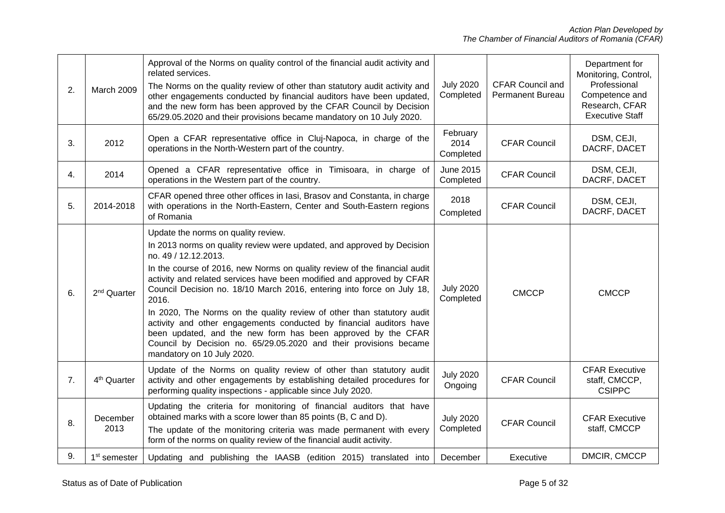| 2. | March 2009               | Approval of the Norms on quality control of the financial audit activity and<br>related services.<br>The Norms on the quality review of other than statutory audit activity and<br>other engagements conducted by financial auditors have been updated,<br>and the new form has been approved by the CFAR Council by Decision<br>65/29.05.2020 and their provisions became mandatory on 10 July 2020.                                                                                                                                                                                                                                                                                              | <b>July 2020</b><br>Completed | <b>CFAR Council and</b><br><b>Permanent Bureau</b> | Department for<br>Monitoring, Control,<br>Professional<br>Competence and<br>Research, CFAR<br><b>Executive Staff</b> |
|----|--------------------------|----------------------------------------------------------------------------------------------------------------------------------------------------------------------------------------------------------------------------------------------------------------------------------------------------------------------------------------------------------------------------------------------------------------------------------------------------------------------------------------------------------------------------------------------------------------------------------------------------------------------------------------------------------------------------------------------------|-------------------------------|----------------------------------------------------|----------------------------------------------------------------------------------------------------------------------|
| 3. | 2012                     | Open a CFAR representative office in Cluj-Napoca, in charge of the<br>operations in the North-Western part of the country.                                                                                                                                                                                                                                                                                                                                                                                                                                                                                                                                                                         | February<br>2014<br>Completed | <b>CFAR Council</b>                                | DSM, CEJI,<br>DACRF, DACET                                                                                           |
| 4. | 2014                     | Opened a CFAR representative office in Timisoara, in charge of<br>operations in the Western part of the country.                                                                                                                                                                                                                                                                                                                                                                                                                                                                                                                                                                                   | June 2015<br>Completed        | <b>CFAR Council</b>                                | DSM, CEJI,<br>DACRF, DACET                                                                                           |
| 5. | 2014-2018                | CFAR opened three other offices in lasi, Brasov and Constanta, in charge<br>with operations in the North-Eastern, Center and South-Eastern regions<br>of Romania                                                                                                                                                                                                                                                                                                                                                                                                                                                                                                                                   | 2018<br>Completed             | <b>CFAR Council</b>                                | DSM, CEJI,<br>DACRF, DACET                                                                                           |
| 6. | 2 <sup>nd</sup> Quarter  | Update the norms on quality review.<br>In 2013 norms on quality review were updated, and approved by Decision<br>no. 49 / 12.12.2013.<br>In the course of 2016, new Norms on quality review of the financial audit<br>activity and related services have been modified and approved by CFAR<br>Council Decision no. 18/10 March 2016, entering into force on July 18,<br>2016.<br>In 2020, The Norms on the quality review of other than statutory audit<br>activity and other engagements conducted by financial auditors have<br>been updated, and the new form has been approved by the CFAR<br>Council by Decision no. 65/29.05.2020 and their provisions became<br>mandatory on 10 July 2020. | <b>July 2020</b><br>Completed | <b>CMCCP</b>                                       | <b>CMCCP</b>                                                                                                         |
| 7. | 4 <sup>th</sup> Quarter  | Update of the Norms on quality review of other than statutory audit<br>activity and other engagements by establishing detailed procedures for<br>performing quality inspections - applicable since July 2020.                                                                                                                                                                                                                                                                                                                                                                                                                                                                                      | <b>July 2020</b><br>Ongoing   | <b>CFAR Council</b>                                | <b>CFAR Executive</b><br>staff, CMCCP,<br><b>CSIPPC</b>                                                              |
| 8. | December<br>2013         | Updating the criteria for monitoring of financial auditors that have<br>obtained marks with a score lower than 85 points (B, C and D).<br>The update of the monitoring criteria was made permanent with every<br>form of the norms on quality review of the financial audit activity.                                                                                                                                                                                                                                                                                                                                                                                                              | <b>July 2020</b><br>Completed | <b>CFAR Council</b>                                | <b>CFAR Executive</b><br>staff, CMCCP                                                                                |
| 9. | 1 <sup>st</sup> semester | Updating and publishing the IAASB (edition 2015) translated into                                                                                                                                                                                                                                                                                                                                                                                                                                                                                                                                                                                                                                   | December                      | Executive                                          | DMCIR, CMCCP                                                                                                         |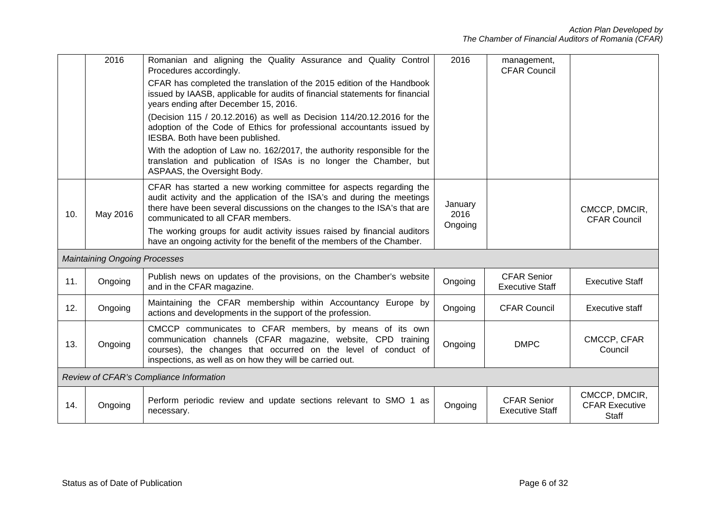|     | 2016                                    | Romanian and aligning the Quality Assurance and Quality Control<br>Procedures accordingly.<br>CFAR has completed the translation of the 2015 edition of the Handbook<br>issued by IAASB, applicable for audits of financial statements for financial           | 2016                       | management,<br><b>CFAR Council</b>           |                                                        |  |
|-----|-----------------------------------------|----------------------------------------------------------------------------------------------------------------------------------------------------------------------------------------------------------------------------------------------------------------|----------------------------|----------------------------------------------|--------------------------------------------------------|--|
|     |                                         | years ending after December 15, 2016.                                                                                                                                                                                                                          |                            |                                              |                                                        |  |
|     |                                         | (Decision 115 / 20.12.2016) as well as Decision 114/20.12.2016 for the<br>adoption of the Code of Ethics for professional accountants issued by<br>IESBA. Both have been published.                                                                            |                            |                                              |                                                        |  |
|     |                                         | With the adoption of Law no. 162/2017, the authority responsible for the<br>translation and publication of ISAs is no longer the Chamber, but<br>ASPAAS, the Oversight Body.                                                                                   |                            |                                              |                                                        |  |
| 10. | May 2016                                | CFAR has started a new working committee for aspects regarding the<br>audit activity and the application of the ISA's and during the meetings<br>there have been several discussions on the changes to the ISA's that are<br>communicated to all CFAR members. | January<br>2016<br>Ongoing |                                              | CMCCP, DMCIR,<br><b>CFAR Council</b>                   |  |
|     |                                         | The working groups for audit activity issues raised by financial auditors<br>have an ongoing activity for the benefit of the members of the Chamber.                                                                                                           |                            |                                              |                                                        |  |
|     | <b>Maintaining Ongoing Processes</b>    |                                                                                                                                                                                                                                                                |                            |                                              |                                                        |  |
| 11. | Ongoing                                 | Publish news on updates of the provisions, on the Chamber's website<br>and in the CFAR magazine.                                                                                                                                                               | Ongoing                    | <b>CFAR Senior</b><br><b>Executive Staff</b> | <b>Executive Staff</b>                                 |  |
| 12. | Ongoing                                 | Maintaining the CFAR membership within Accountancy Europe by<br>actions and developments in the support of the profession.                                                                                                                                     | Ongoing                    | <b>CFAR Council</b>                          | <b>Executive staff</b>                                 |  |
| 13. | Ongoing                                 | CMCCP communicates to CFAR members, by means of its own<br>communication channels (CFAR magazine, website, CPD training<br>courses), the changes that occurred on the level of conduct of<br>inspections, as well as on how they will be carried out.          | Ongoing                    | <b>DMPC</b>                                  | CMCCP, CFAR<br>Council                                 |  |
|     | Review of CFAR's Compliance Information |                                                                                                                                                                                                                                                                |                            |                                              |                                                        |  |
| 14. | Ongoing                                 | Perform periodic review and update sections relevant to SMO 1 as<br>necessary.                                                                                                                                                                                 | Ongoing                    | <b>CFAR Senior</b><br><b>Executive Staff</b> | CMCCP, DMCIR,<br><b>CFAR Executive</b><br><b>Staff</b> |  |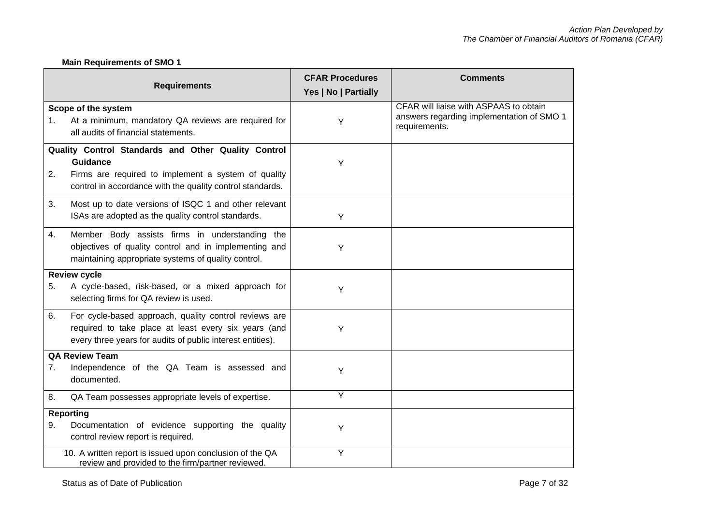# **Main Requirements of SMO 1**

|             | <b>Requirements</b>                                                                                                                                                                        | <b>CFAR Procedures</b><br>Yes   No   Partially | <b>Comments</b>                                                                                      |
|-------------|--------------------------------------------------------------------------------------------------------------------------------------------------------------------------------------------|------------------------------------------------|------------------------------------------------------------------------------------------------------|
| $1_{\cdot}$ | Scope of the system<br>At a minimum, mandatory QA reviews are required for<br>all audits of financial statements.                                                                          | Y                                              | CFAR will liaise with ASPAAS to obtain<br>answers regarding implementation of SMO 1<br>requirements. |
| 2.          | Quality Control Standards and Other Quality Control<br><b>Guidance</b><br>Firms are required to implement a system of quality<br>control in accordance with the quality control standards. | Υ                                              |                                                                                                      |
| 3.          | Most up to date versions of ISQC 1 and other relevant<br>ISAs are adopted as the quality control standards.                                                                                | Y                                              |                                                                                                      |
| 4.          | Member Body assists firms in understanding the<br>objectives of quality control and in implementing and<br>maintaining appropriate systems of quality control.                             | Y                                              |                                                                                                      |
| 5.          | <b>Review cycle</b><br>A cycle-based, risk-based, or a mixed approach for<br>selecting firms for QA review is used.                                                                        | Y                                              |                                                                                                      |
| 6.          | For cycle-based approach, quality control reviews are<br>required to take place at least every six years (and<br>every three years for audits of public interest entities).                | Y                                              |                                                                                                      |
| 7.          | <b>QA Review Team</b><br>Independence of the QA Team is assessed and<br>documented.                                                                                                        | Υ                                              |                                                                                                      |
| 8.          | QA Team possesses appropriate levels of expertise.                                                                                                                                         | Υ                                              |                                                                                                      |
| 9.          | <b>Reporting</b><br>Documentation of evidence supporting the quality<br>control review report is required.                                                                                 | Υ                                              |                                                                                                      |
|             | 10. A written report is issued upon conclusion of the QA<br>review and provided to the firm/partner reviewed.                                                                              | Y                                              |                                                                                                      |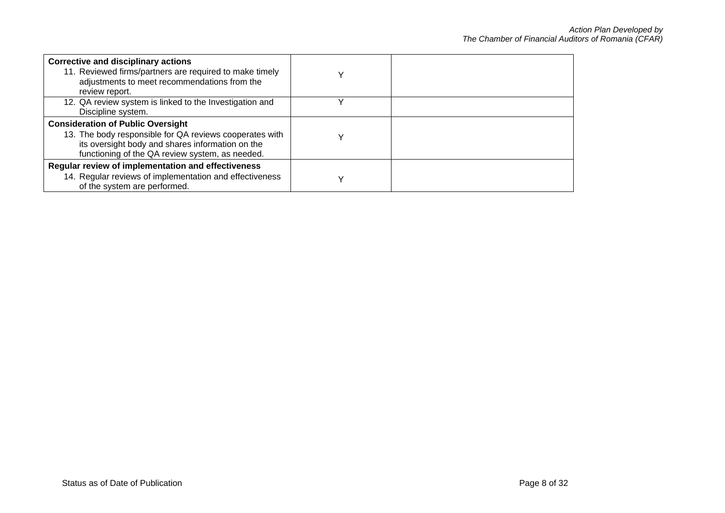| <b>Corrective and disciplinary actions</b><br>11. Reviewed firms/partners are required to make timely<br>adjustments to meet recommendations from the<br>review report.                                    |  |
|------------------------------------------------------------------------------------------------------------------------------------------------------------------------------------------------------------|--|
| 12. QA review system is linked to the Investigation and<br>Discipline system.                                                                                                                              |  |
| <b>Consideration of Public Oversight</b><br>13. The body responsible for QA reviews cooperates with<br>its oversight body and shares information on the<br>functioning of the QA review system, as needed. |  |
| Regular review of implementation and effectiveness<br>14. Regular reviews of implementation and effectiveness<br>of the system are performed.                                                              |  |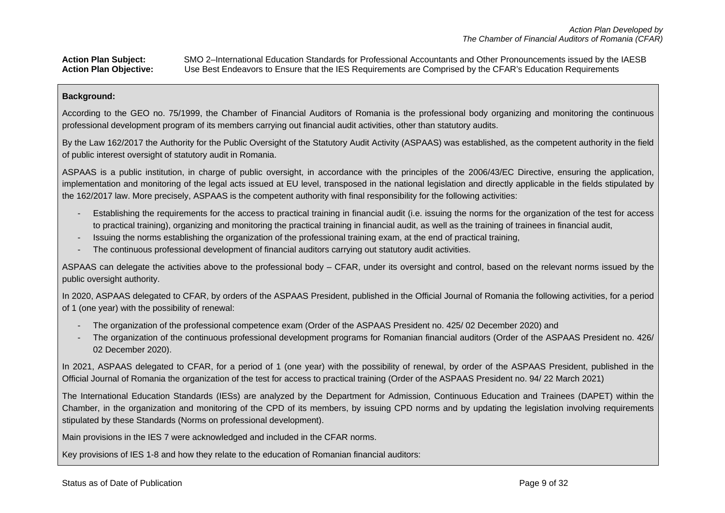### Action Plan Subject: SMO 2–International Education Standards for Professional Accountants and Other Pronouncements issued by the IAESB<br>Action Plan Objective: Use Best Endeavors to Ensure that the IES Requirements are Compr **Action Plan Objective:** Use Best Endeavors to Ensure that the IES Requirements are Comprised by the CFAR's Education Requirements

### **Background:**

According to the GEO no. 75/1999, the Chamber of Financial Auditors of Romania is the professional body organizing and monitoring the continuous professional development program of its members carrying out financial audit activities, other than statutory audits.

By the Law 162/2017 the Authority for the Public Oversight of the Statutory Audit Activity (ASPAAS) was established, as the competent authority in the field of public interest oversight of statutory audit in Romania.

ASPAAS is a public institution, in charge of public oversight, in accordance with the principles of the 2006/43/EC Directive, ensuring the application, implementation and monitoring of the legal acts issued at EU level, transposed in the national legislation and directly applicable in the fields stipulated by the 162/2017 law. More precisely, ASPAAS is the competent authority with final responsibility for the following activities:

- Establishing the requirements for the access to practical training in financial audit (i.e. issuing the norms for the organization of the test for access to practical training), organizing and monitoring the practical training in financial audit, as well as the training of trainees in financial audit,
- Issuing the norms establishing the organization of the professional training exam, at the end of practical training,
- The continuous professional development of financial auditors carrying out statutory audit activities.

ASPAAS can delegate the activities above to the professional body – CFAR, under its oversight and control, based on the relevant norms issued by the public oversight authority.

In 2020, ASPAAS delegated to CFAR, by orders of the ASPAAS President, published in the Official Journal of Romania the following activities, for a period of 1 (one year) with the possibility of renewal:

- The organization of the professional competence exam (Order of the ASPAAS President no. 425/ 02 December 2020) and
- The organization of the continuous professional development programs for Romanian financial auditors (Order of the ASPAAS President no. 426/ 02 December 2020).

In 2021, ASPAAS delegated to CFAR, for a period of 1 (one year) with the possibility of renewal, by order of the ASPAAS President, published in the Official Journal of Romania the organization of the test for access to practical training (Order of the ASPAAS President no. 94/ 22 March 2021)

The International Education Standards (IESs) are analyzed by the Department for Admission, Continuous Education and Trainees (DAPET) within the Chamber, in the organization and monitoring of the CPD of its members, by issuing CPD norms and by updating the legislation involving requirements stipulated by these Standards (Norms on professional development).

Main provisions in the IES 7 were acknowledged and included in the CFAR norms.

Key provisions of IES 1-8 and how they relate to the education of Romanian financial auditors: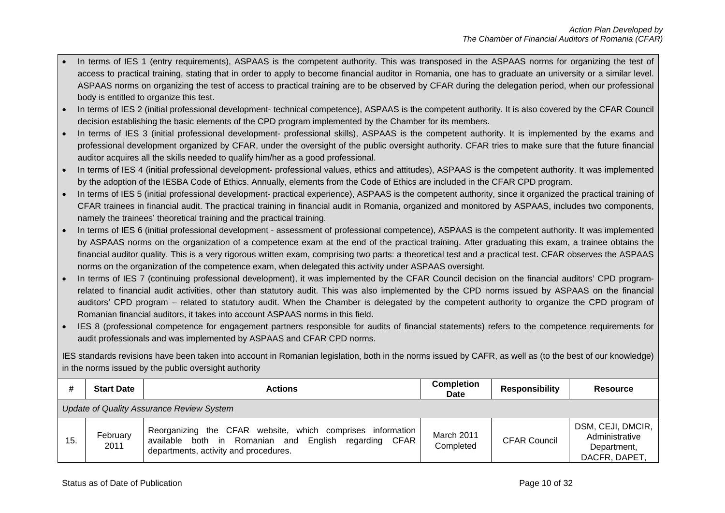- In terms of IES 1 (entry requirements), ASPAAS is the competent authority. This was transposed in the ASPAAS norms for organizing the test of access to practical training, stating that in order to apply to become financial auditor in Romania, one has to graduate an university or a similar level. ASPAAS norms on organizing the test of access to practical training are to be observed by CFAR during the delegation period, when our professional body is entitled to organize this test.
- In terms of IES 2 (initial professional development- technical competence), ASPAAS is the competent authority. It is also covered by the CFAR Council decision establishing the basic elements of the CPD program implemented by the Chamber for its members.
- In terms of IES 3 (initial professional development- professional skills), ASPAAS is the competent authority. It is implemented by the exams and professional development organized by CFAR, under the oversight of the public oversight authority. CFAR tries to make sure that the future financial auditor acquires all the skills needed to qualify him/her as a good professional.
- In terms of IES 4 (initial professional development- professional values, ethics and attitudes), ASPAAS is the competent authority. It was implemented by the adoption of the IESBA Code of Ethics. Annually, elements from the Code of Ethics are included in the CFAR CPD program.
- In terms of IES 5 (initial professional development- practical experience), ASPAAS is the competent authority, since it organized the practical training of CFAR trainees in financial audit. The practical training in financial audit in Romania, organized and monitored by ASPAAS, includes two components, namely the trainees' theoretical training and the practical training.
- In terms of IES 6 (initial professional development assessment of professional competence), ASPAAS is the competent authority. It was implemented by ASPAAS norms on the organization of a competence exam at the end of the practical training. After graduating this exam, a trainee obtains the financial auditor quality. This is a very rigorous written exam, comprising two parts: a theoretical test and a practical test. CFAR observes the ASPAAS norms on the organization of the competence exam, when delegated this activity under ASPAAS oversight.
- In terms of IES 7 (continuing professional development), it was implemented by the CFAR Council decision on the financial auditors' CPD programrelated to financial audit activities, other than statutory audit. This was also implemented by the CPD norms issued by ASPAAS on the financial auditors' CPD program – related to statutory audit. When the Chamber is delegated by the competent authority to organize the CPD program of Romanian financial auditors, it takes into account ASPAAS norms in this field.
- IES 8 (professional competence for engagement partners responsible for audits of financial statements) refers to the competence requirements for audit professionals and was implemented by ASPAAS and CFAR CPD norms.

IES standards revisions have been taken into account in Romanian legislation, both in the norms issued by CAFR, as well as (to the best of our knowledge) in the norms issued by the public oversight authority

| #   | <b>Start Date</b>                         | <b>Actions</b>                                                                                                                                                        | <b>Completion</b><br><b>Date</b> | <b>Responsibility</b> | <b>Resource</b>                                                     |
|-----|-------------------------------------------|-----------------------------------------------------------------------------------------------------------------------------------------------------------------------|----------------------------------|-----------------------|---------------------------------------------------------------------|
|     | Update of Quality Assurance Review System |                                                                                                                                                                       |                                  |                       |                                                                     |
| 15. | February<br>2011                          | Reorganizing the CFAR website, which comprises information<br>both in Romanian and<br>English<br>regarding CFAR<br>available<br>departments, activity and procedures. | March 2011<br>Completed          | <b>CFAR Council</b>   | DSM, CEJI, DMCIR,<br>Administrative<br>Department,<br>DACFR, DAPET, |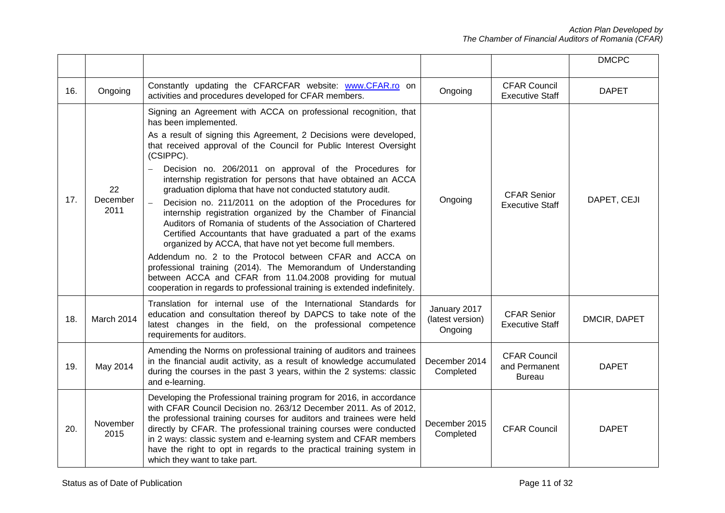|     |                        |                                                                                                                                                                                                                                                                                                                                                                                                                                                                                                                                                                                                                                                                                                                                                                                                                                                                                                                                                                                                                                                         |                                             |                                                | <b>DMCPC</b> |
|-----|------------------------|---------------------------------------------------------------------------------------------------------------------------------------------------------------------------------------------------------------------------------------------------------------------------------------------------------------------------------------------------------------------------------------------------------------------------------------------------------------------------------------------------------------------------------------------------------------------------------------------------------------------------------------------------------------------------------------------------------------------------------------------------------------------------------------------------------------------------------------------------------------------------------------------------------------------------------------------------------------------------------------------------------------------------------------------------------|---------------------------------------------|------------------------------------------------|--------------|
| 16. | Ongoing                | Constantly updating the CFARCFAR website: www.CFAR.ro on<br>activities and procedures developed for CFAR members.                                                                                                                                                                                                                                                                                                                                                                                                                                                                                                                                                                                                                                                                                                                                                                                                                                                                                                                                       | Ongoing                                     | <b>CFAR Council</b><br><b>Executive Staff</b>  | <b>DAPET</b> |
| 17. | 22<br>December<br>2011 | Signing an Agreement with ACCA on professional recognition, that<br>has been implemented.<br>As a result of signing this Agreement, 2 Decisions were developed,<br>that received approval of the Council for Public Interest Oversight<br>(CSIPPC).<br>Decision no. 206/2011 on approval of the Procedures for<br>internship registration for persons that have obtained an ACCA<br>graduation diploma that have not conducted statutory audit.<br>Decision no. 211/2011 on the adoption of the Procedures for<br>internship registration organized by the Chamber of Financial<br>Auditors of Romania of students of the Association of Chartered<br>Certified Accountants that have graduated a part of the exams<br>organized by ACCA, that have not yet become full members.<br>Addendum no. 2 to the Protocol between CFAR and ACCA on<br>professional training (2014). The Memorandum of Understanding<br>between ACCA and CFAR from 11.04.2008 providing for mutual<br>cooperation in regards to professional training is extended indefinitely. | Ongoing                                     | <b>CFAR Senior</b><br><b>Executive Staff</b>   | DAPET, CEJI  |
| 18. | March 2014             | Translation for internal use of the International Standards for<br>education and consultation thereof by DAPCS to take note of the<br>latest changes in the field, on the professional competence<br>requirements for auditors.                                                                                                                                                                                                                                                                                                                                                                                                                                                                                                                                                                                                                                                                                                                                                                                                                         | January 2017<br>(latest version)<br>Ongoing | <b>CFAR Senior</b><br><b>Executive Staff</b>   | DMCIR, DAPET |
| 19. | May 2014               | Amending the Norms on professional training of auditors and trainees<br>in the financial audit activity, as a result of knowledge accumulated<br>during the courses in the past 3 years, within the 2 systems: classic<br>and e-learning.                                                                                                                                                                                                                                                                                                                                                                                                                                                                                                                                                                                                                                                                                                                                                                                                               | December 2014<br>Completed                  | <b>CFAR Council</b><br>and Permanent<br>Bureau | <b>DAPET</b> |
| 20. | November<br>2015       | Developing the Professional training program for 2016, in accordance<br>with CFAR Council Decision no. 263/12 December 2011. As of 2012,<br>the professional training courses for auditors and trainees were held<br>directly by CFAR. The professional training courses were conducted<br>in 2 ways: classic system and e-learning system and CFAR members<br>have the right to opt in regards to the practical training system in<br>which they want to take part.                                                                                                                                                                                                                                                                                                                                                                                                                                                                                                                                                                                    | December 2015<br>Completed                  | <b>CFAR Council</b>                            | <b>DAPET</b> |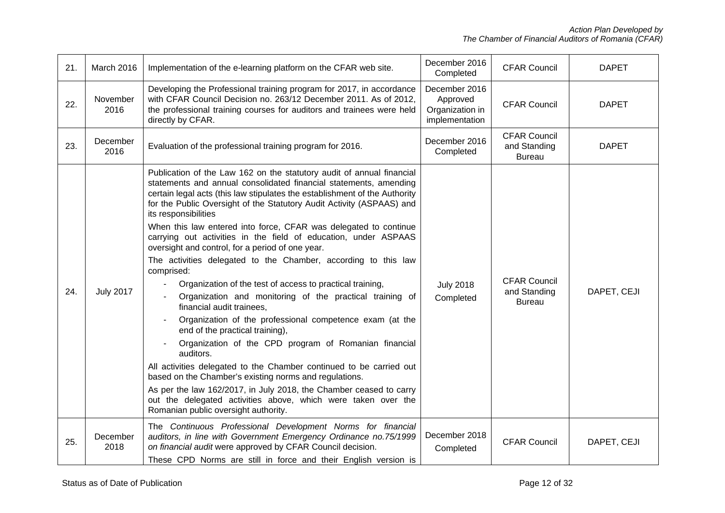| 21. | March 2016       | Implementation of the e-learning platform on the CFAR web site.                                                                                                                                                                                                                                                                                                                                                                                                                                                                                                                                                                                                                                                                                                                                                                                                                                                                                                                                                                                                                                                                                                                                                                                 | December 2016<br>Completed                                     | <b>CFAR Council</b>                                  | <b>DAPET</b> |
|-----|------------------|-------------------------------------------------------------------------------------------------------------------------------------------------------------------------------------------------------------------------------------------------------------------------------------------------------------------------------------------------------------------------------------------------------------------------------------------------------------------------------------------------------------------------------------------------------------------------------------------------------------------------------------------------------------------------------------------------------------------------------------------------------------------------------------------------------------------------------------------------------------------------------------------------------------------------------------------------------------------------------------------------------------------------------------------------------------------------------------------------------------------------------------------------------------------------------------------------------------------------------------------------|----------------------------------------------------------------|------------------------------------------------------|--------------|
| 22. | November<br>2016 | Developing the Professional training program for 2017, in accordance<br>with CFAR Council Decision no. 263/12 December 2011. As of 2012,<br>the professional training courses for auditors and trainees were held<br>directly by CFAR.                                                                                                                                                                                                                                                                                                                                                                                                                                                                                                                                                                                                                                                                                                                                                                                                                                                                                                                                                                                                          | December 2016<br>Approved<br>Organization in<br>implementation | <b>CFAR Council</b>                                  | <b>DAPET</b> |
| 23. | December<br>2016 | Evaluation of the professional training program for 2016.                                                                                                                                                                                                                                                                                                                                                                                                                                                                                                                                                                                                                                                                                                                                                                                                                                                                                                                                                                                                                                                                                                                                                                                       | December 2016<br>Completed                                     | <b>CFAR Council</b><br>and Standing<br><b>Bureau</b> | <b>DAPET</b> |
| 24. | <b>July 2017</b> | Publication of the Law 162 on the statutory audit of annual financial<br>statements and annual consolidated financial statements, amending<br>certain legal acts (this law stipulates the establishment of the Authority<br>for the Public Oversight of the Statutory Audit Activity (ASPAAS) and<br>its responsibilities<br>When this law entered into force, CFAR was delegated to continue<br>carrying out activities in the field of education, under ASPAAS<br>oversight and control, for a period of one year.<br>The activities delegated to the Chamber, according to this law<br>comprised:<br>Organization of the test of access to practical training,<br>Organization and monitoring of the practical training of<br>financial audit trainees.<br>Organization of the professional competence exam (at the<br>end of the practical training),<br>Organization of the CPD program of Romanian financial<br>auditors.<br>All activities delegated to the Chamber continued to be carried out<br>based on the Chamber's existing norms and regulations.<br>As per the law 162/2017, in July 2018, the Chamber ceased to carry<br>out the delegated activities above, which were taken over the<br>Romanian public oversight authority. | <b>July 2018</b><br>Completed                                  | <b>CFAR Council</b><br>and Standing<br><b>Bureau</b> | DAPET, CEJI  |
| 25. | December<br>2018 | The Continuous Professional Development Norms for financial<br>auditors, in line with Government Emergency Ordinance no.75/1999<br>on financial audit were approved by CFAR Council decision.<br>These CPD Norms are still in force and their English version is                                                                                                                                                                                                                                                                                                                                                                                                                                                                                                                                                                                                                                                                                                                                                                                                                                                                                                                                                                                | December 2018<br>Completed                                     | <b>CFAR Council</b>                                  | DAPET, CEJI  |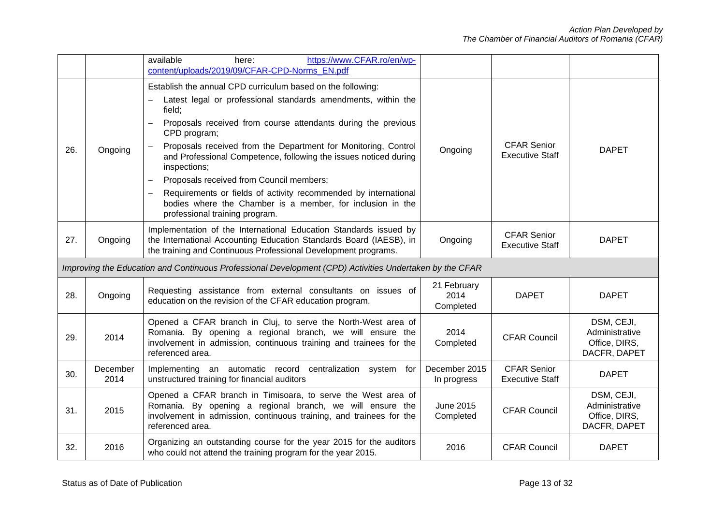|     |                  | available<br>https://www.CFAR.ro/en/wp-<br>here:<br>content/uploads/2019/09/CFAR-CPD-Norms EN.pdf                                                                                                                                                                                                                                                                                                                                                                                                                                                                                                                    |                                  |                                              |                                                               |
|-----|------------------|----------------------------------------------------------------------------------------------------------------------------------------------------------------------------------------------------------------------------------------------------------------------------------------------------------------------------------------------------------------------------------------------------------------------------------------------------------------------------------------------------------------------------------------------------------------------------------------------------------------------|----------------------------------|----------------------------------------------|---------------------------------------------------------------|
| 26. | Ongoing          | Establish the annual CPD curriculum based on the following:<br>Latest legal or professional standards amendments, within the<br>field;<br>Proposals received from course attendants during the previous<br>$\equiv$<br>CPD program;<br>Proposals received from the Department for Monitoring, Control<br>and Professional Competence, following the issues noticed during<br>inspections;<br>Proposals received from Council members;<br>Requirements or fields of activity recommended by international<br>$\equiv$<br>bodies where the Chamber is a member, for inclusion in the<br>professional training program. | Ongoing                          | <b>CFAR Senior</b><br><b>Executive Staff</b> | <b>DAPET</b>                                                  |
| 27. | Ongoing          | Implementation of the International Education Standards issued by<br>the International Accounting Education Standards Board (IAESB), in<br>the training and Continuous Professional Development programs.                                                                                                                                                                                                                                                                                                                                                                                                            | Ongoing                          | <b>CFAR Senior</b><br><b>Executive Staff</b> | <b>DAPET</b>                                                  |
|     |                  | Improving the Education and Continuous Professional Development (CPD) Activities Undertaken by the CFAR                                                                                                                                                                                                                                                                                                                                                                                                                                                                                                              |                                  |                                              |                                                               |
| 28. | Ongoing          | Requesting assistance from external consultants on issues of<br>education on the revision of the CFAR education program.                                                                                                                                                                                                                                                                                                                                                                                                                                                                                             | 21 February<br>2014<br>Completed | <b>DAPET</b>                                 | <b>DAPET</b>                                                  |
| 29. | 2014             | Opened a CFAR branch in Cluj, to serve the North-West area of<br>Romania. By opening a regional branch, we will ensure the<br>involvement in admission, continuous training and trainees for the<br>referenced area.                                                                                                                                                                                                                                                                                                                                                                                                 | 2014<br>Completed                | <b>CFAR Council</b>                          | DSM, CEJI,<br>Administrative<br>Office, DIRS,<br>DACFR, DAPET |
| 30. | December<br>2014 | Implementing an automatic record centralization system for<br>unstructured training for financial auditors                                                                                                                                                                                                                                                                                                                                                                                                                                                                                                           | December 2015<br>In progress     | <b>CFAR Senior</b><br><b>Executive Staff</b> | <b>DAPET</b>                                                  |
| 31. | 2015             | Opened a CFAR branch in Timisoara, to serve the West area of<br>Romania. By opening a regional branch, we will ensure the<br>involvement in admission, continuous training, and trainees for the<br>referenced area.                                                                                                                                                                                                                                                                                                                                                                                                 | June 2015<br>Completed           | <b>CFAR Council</b>                          | DSM, CEJI,<br>Administrative<br>Office, DIRS,<br>DACFR, DAPET |
| 32. | 2016             | Organizing an outstanding course for the year 2015 for the auditors<br>who could not attend the training program for the year 2015.                                                                                                                                                                                                                                                                                                                                                                                                                                                                                  | 2016                             | <b>CFAR Council</b>                          | <b>DAPET</b>                                                  |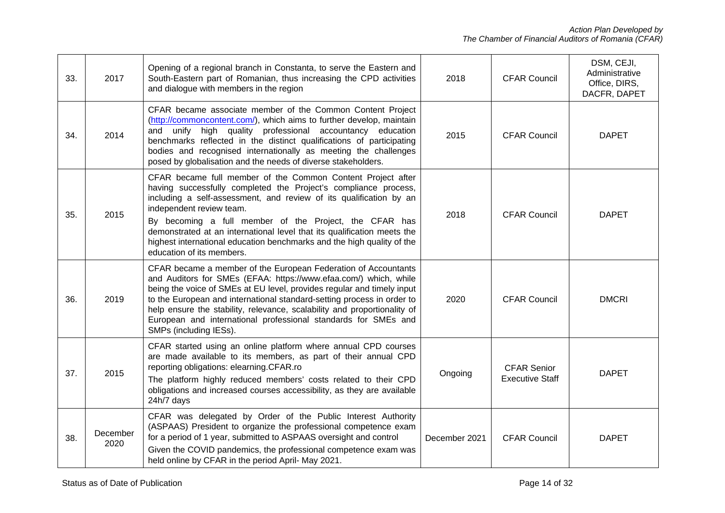| 33. | 2017             | Opening of a regional branch in Constanta, to serve the Eastern and<br>South-Eastern part of Romanian, thus increasing the CPD activities<br>and dialogue with members in the region                                                                                                                                                                                                                                                                                         | 2018          | <b>CFAR Council</b>                          | DSM, CEJI,<br>Administrative<br>Office, DIRS,<br>DACFR, DAPET |
|-----|------------------|------------------------------------------------------------------------------------------------------------------------------------------------------------------------------------------------------------------------------------------------------------------------------------------------------------------------------------------------------------------------------------------------------------------------------------------------------------------------------|---------------|----------------------------------------------|---------------------------------------------------------------|
| 34. | 2014             | CFAR became associate member of the Common Content Project<br>(http://commoncontent.com/), which aims to further develop, maintain<br>and unify high quality professional accountancy education<br>benchmarks reflected in the distinct qualifications of participating<br>bodies and recognised internationally as meeting the challenges<br>posed by globalisation and the needs of diverse stakeholders.                                                                  | 2015          | <b>CFAR Council</b>                          | <b>DAPET</b>                                                  |
| 35. | 2015             | CFAR became full member of the Common Content Project after<br>having successfully completed the Project's compliance process,<br>including a self-assessment, and review of its qualification by an<br>independent review team.<br>By becoming a full member of the Project, the CFAR has<br>demonstrated at an international level that its qualification meets the<br>highest international education benchmarks and the high quality of the<br>education of its members. | 2018          | <b>CFAR Council</b>                          | <b>DAPET</b>                                                  |
| 36. | 2019             | CFAR became a member of the European Federation of Accountants<br>and Auditors for SMEs (EFAA: https://www.efaa.com/) which, while<br>being the voice of SMEs at EU level, provides regular and timely input<br>to the European and international standard-setting process in order to<br>help ensure the stability, relevance, scalability and proportionality of<br>European and international professional standards for SMEs and<br>SMPs (including IESs).               | 2020          | <b>CFAR Council</b>                          | <b>DMCRI</b>                                                  |
| 37. | 2015             | CFAR started using an online platform where annual CPD courses<br>are made available to its members, as part of their annual CPD<br>reporting obligations: elearning.CFAR.ro<br>The platform highly reduced members' costs related to their CPD<br>obligations and increased courses accessibility, as they are available<br>24h/7 days                                                                                                                                      | Ongoing       | <b>CFAR Senior</b><br><b>Executive Staff</b> | <b>DAPET</b>                                                  |
| 38. | December<br>2020 | CFAR was delegated by Order of the Public Interest Authority<br>(ASPAAS) President to organize the professional competence exam<br>for a period of 1 year, submitted to ASPAAS oversight and control<br>Given the COVID pandemics, the professional competence exam was<br>held online by CFAR in the period April- May 2021.                                                                                                                                                | December 2021 | <b>CFAR Council</b>                          | <b>DAPET</b>                                                  |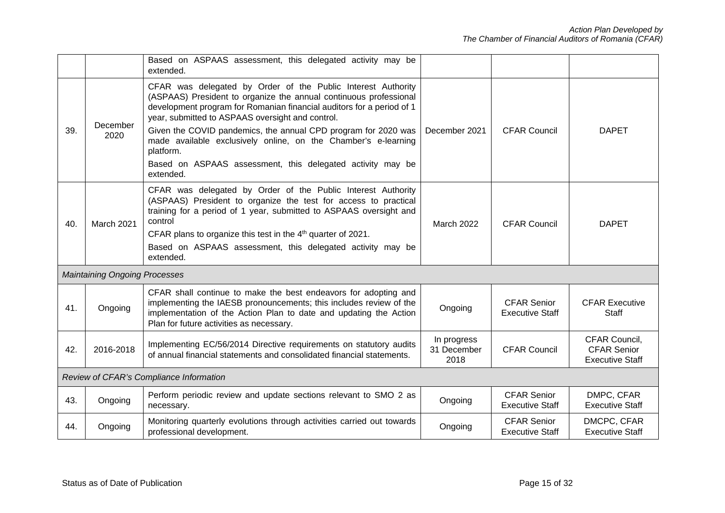|     |                                      | Based on ASPAAS assessment, this delegated activity may be<br>extended.                                                                                                                                                                                                                                                                                                                                                                                                                    |                                    |                                              |                                                               |
|-----|--------------------------------------|--------------------------------------------------------------------------------------------------------------------------------------------------------------------------------------------------------------------------------------------------------------------------------------------------------------------------------------------------------------------------------------------------------------------------------------------------------------------------------------------|------------------------------------|----------------------------------------------|---------------------------------------------------------------|
| 39. | December<br>2020                     | CFAR was delegated by Order of the Public Interest Authority<br>(ASPAAS) President to organize the annual continuous professional<br>development program for Romanian financial auditors for a period of 1<br>year, submitted to ASPAAS oversight and control.<br>Given the COVID pandemics, the annual CPD program for 2020 was<br>made available exclusively online, on the Chamber's e-learning<br>platform.<br>Based on ASPAAS assessment, this delegated activity may be<br>extended. | December 2021                      | <b>CFAR Council</b>                          | <b>DAPET</b>                                                  |
| 40. | March 2021                           | CFAR was delegated by Order of the Public Interest Authority<br>(ASPAAS) President to organize the test for access to practical<br>training for a period of 1 year, submitted to ASPAAS oversight and<br>control<br>CFAR plans to organize this test in the 4 <sup>th</sup> quarter of 2021.<br>Based on ASPAAS assessment, this delegated activity may be<br>extended.                                                                                                                    | <b>March 2022</b>                  | <b>CFAR Council</b>                          | <b>DAPET</b>                                                  |
|     | <b>Maintaining Ongoing Processes</b> |                                                                                                                                                                                                                                                                                                                                                                                                                                                                                            |                                    |                                              |                                                               |
| 41. | Ongoing                              | CFAR shall continue to make the best endeavors for adopting and<br>implementing the IAESB pronouncements; this includes review of the<br>implementation of the Action Plan to date and updating the Action<br>Plan for future activities as necessary.                                                                                                                                                                                                                                     | Ongoing                            | <b>CFAR Senior</b><br><b>Executive Staff</b> | <b>CFAR Executive</b><br>Staff                                |
| 42. | 2016-2018                            | Implementing EC/56/2014 Directive requirements on statutory audits<br>of annual financial statements and consolidated financial statements.                                                                                                                                                                                                                                                                                                                                                | In progress<br>31 December<br>2018 | <b>CFAR Council</b>                          | CFAR Council,<br><b>CFAR Senior</b><br><b>Executive Staff</b> |
|     |                                      | Review of CFAR's Compliance Information                                                                                                                                                                                                                                                                                                                                                                                                                                                    |                                    |                                              |                                                               |
| 43. | Ongoing                              | Perform periodic review and update sections relevant to SMO 2 as<br>necessary.                                                                                                                                                                                                                                                                                                                                                                                                             | Ongoing                            | <b>CFAR Senior</b><br><b>Executive Staff</b> | DMPC, CFAR<br><b>Executive Staff</b>                          |
| 44. | Ongoing                              | Monitoring quarterly evolutions through activities carried out towards<br>professional development.                                                                                                                                                                                                                                                                                                                                                                                        | Ongoing                            | <b>CFAR Senior</b><br><b>Executive Staff</b> | DMCPC, CFAR<br><b>Executive Staff</b>                         |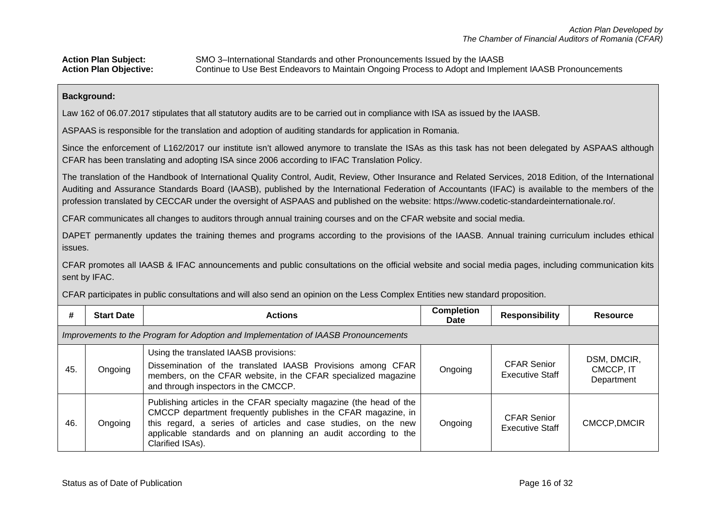#### **Background:**

Law 162 of 06.07.2017 stipulates that all statutory audits are to be carried out in compliance with ISA as issued by the IAASB.

ASPAAS is responsible for the translation and adoption of auditing standards for application in Romania.

Since the enforcement of L162/2017 our institute isn't allowed anymore to translate the ISAs as this task has not been delegated by ASPAAS although CFAR has been translating and adopting ISA since 2006 according to IFAC Translation Policy.

The translation of the Handbook of International Quality Control, Audit, Review, Other Insurance and Related Services, 2018 Edition, of the International Auditing and Assurance Standards Board (IAASB), published by the International Federation of Accountants (IFAC) is available to the members of the profession translated by CECCAR under the oversight of ASPAAS and published on the website: https://www.codetic-standardeinternationale.ro/.

CFAR communicates all changes to auditors through annual training courses and on the CFAR website and social media.

DAPET permanently updates the training themes and programs according to the provisions of the IAASB. Annual training curriculum includes ethical issues.

CFAR promotes all IAASB & IFAC announcements and public consultations on the official website and social media pages, including communication kits sent by IFAC.

CFAR participates in public consultations and will also send an opinion on the Less Complex Entities new standard proposition.

| #   | <b>Start Date</b>                                                                   | <b>Actions</b>                                                                                                                                                                                                                                                                                | <b>Completion</b><br><b>Date</b> | <b>Responsibility</b>                        | <b>Resource</b>                        |  |  |  |  |  |
|-----|-------------------------------------------------------------------------------------|-----------------------------------------------------------------------------------------------------------------------------------------------------------------------------------------------------------------------------------------------------------------------------------------------|----------------------------------|----------------------------------------------|----------------------------------------|--|--|--|--|--|
|     | Improvements to the Program for Adoption and Implementation of IAASB Pronouncements |                                                                                                                                                                                                                                                                                               |                                  |                                              |                                        |  |  |  |  |  |
| 45. | Ongoing                                                                             | Using the translated IAASB provisions:<br>Dissemination of the translated IAASB Provisions among CFAR<br>members, on the CFAR website, in the CFAR specialized magazine<br>and through inspectors in the CMCCP.                                                                               | Ongoing                          | <b>CFAR Senior</b><br><b>Executive Staff</b> | DSM, DMCIR,<br>CMCCP, IT<br>Department |  |  |  |  |  |
| 46. | Ongoing                                                                             | Publishing articles in the CFAR specialty magazine (the head of the<br>CMCCP department frequently publishes in the CFAR magazine, in<br>this regard, a series of articles and case studies, on the new<br>applicable standards and on planning an audit according to the<br>Clarified ISAs). | Ongoing                          | <b>CFAR Senior</b><br><b>Executive Staff</b> | CMCCP, DMCIR                           |  |  |  |  |  |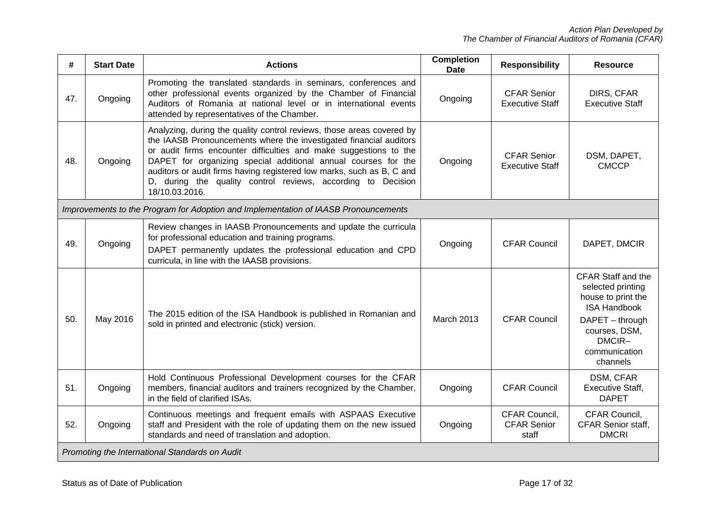| #   | <b>Start Date</b> | <b>Actions</b>                                                                                                                                                                                                                                                                                                                                                                                                                                | <b>Completion</b><br><b>Date</b> | <b>Responsibility</b>                        | <b>Resource</b>                                                                                                                                                 |
|-----|-------------------|-----------------------------------------------------------------------------------------------------------------------------------------------------------------------------------------------------------------------------------------------------------------------------------------------------------------------------------------------------------------------------------------------------------------------------------------------|----------------------------------|----------------------------------------------|-----------------------------------------------------------------------------------------------------------------------------------------------------------------|
| 47. | Ongoing           | Promoting the translated standards in seminars, conferences and<br>other professional events organized by the Chamber of Financial<br>Auditors of Romania at national level or in international events<br>attended by representatives of the Chamber.                                                                                                                                                                                         | Ongoing                          | <b>CFAR Senior</b><br><b>Executive Staff</b> | DIRS, CFAR<br><b>Executive Staff</b>                                                                                                                            |
| 48. | Ongoing           | Analyzing, during the quality control reviews, those areas covered by<br>the IAASB Pronouncements where the investigated financial auditors<br>or audit firms encounter difficulties and make suggestions to the<br>DAPET for organizing special additional annual courses for the<br>auditors or audit firms having registered low marks, such as B, C and<br>D, during the quality control reviews, according to Decision<br>18/10.03.2016. | Ongoing                          | <b>CFAR Senior</b><br><b>Executive Staff</b> | DSM, DAPET,<br><b>CMCCP</b>                                                                                                                                     |
|     |                   | Improvements to the Program for Adoption and Implementation of IAASB Pronouncements                                                                                                                                                                                                                                                                                                                                                           |                                  |                                              |                                                                                                                                                                 |
| 49. | Ongoing           | Review changes in IAASB Pronouncements and update the curricula<br>for professional education and training programs.<br>DAPET permanently updates the professional education and CPD<br>curricula, in line with the IAASB provisions.                                                                                                                                                                                                         | Ongoing                          | <b>CFAR Council</b>                          | DAPET, DMCIR                                                                                                                                                    |
| 50. | May 2016          | The 2015 edition of the ISA Handbook is published in Romanian and<br>sold in printed and electronic (stick) version.                                                                                                                                                                                                                                                                                                                          | <b>March 2013</b>                | <b>CFAR Council</b>                          | CFAR Staff and the<br>selected printing<br>house to print the<br><b>ISA Handbook</b><br>DAPET - through<br>courses, DSM,<br>DMCIR-<br>communication<br>channels |
| 51. | Ongoing           | Hold Continuous Professional Development courses for the CFAR<br>members, financial auditors and trainers recognized by the Chamber,<br>in the field of clarified ISAs.                                                                                                                                                                                                                                                                       | Ongoing                          | <b>CFAR Council</b>                          | DSM, CFAR<br><b>Executive Staff,</b><br><b>DAPET</b>                                                                                                            |
| 52. | Ongoing           | Continuous meetings and frequent emails with ASPAAS Executive<br>staff and President with the role of updating them on the new issued<br>standards and need of translation and adoption.                                                                                                                                                                                                                                                      | Ongoing                          | CFAR Council.<br><b>CFAR Senior</b><br>staff | CFAR Council,<br>CFAR Senior staff,<br><b>DMCRI</b>                                                                                                             |
|     |                   | Promoting the International Standards on Audit                                                                                                                                                                                                                                                                                                                                                                                                |                                  |                                              |                                                                                                                                                                 |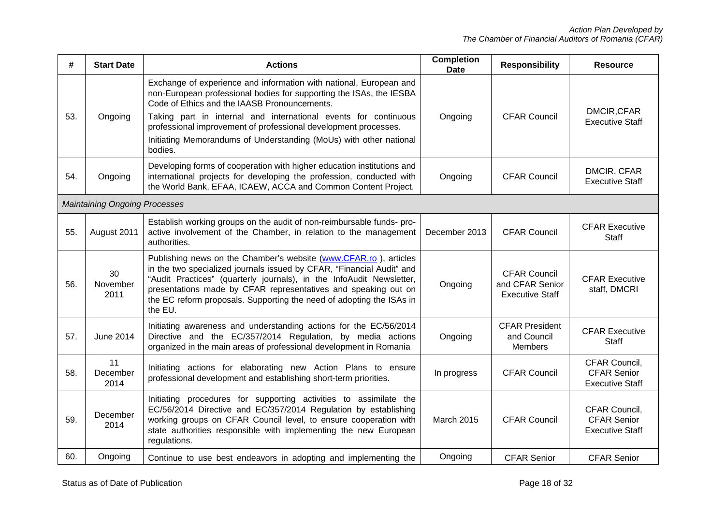| #   | <b>Start Date</b>                    | <b>Actions</b>                                                                                                                                                                                                                                                                                                                                                                                                   | <b>Completion</b><br><b>Date</b> | <b>Responsibility</b>                                            | <b>Resource</b>                                               |
|-----|--------------------------------------|------------------------------------------------------------------------------------------------------------------------------------------------------------------------------------------------------------------------------------------------------------------------------------------------------------------------------------------------------------------------------------------------------------------|----------------------------------|------------------------------------------------------------------|---------------------------------------------------------------|
| 53. | Ongoing                              | Exchange of experience and information with national, European and<br>non-European professional bodies for supporting the ISAs, the IESBA<br>Code of Ethics and the IAASB Pronouncements.<br>Taking part in internal and international events for continuous<br>professional improvement of professional development processes.<br>Initiating Memorandums of Understanding (MoUs) with other national<br>bodies. | Ongoing                          | <b>CFAR Council</b>                                              | DMCIR, CFAR<br><b>Executive Staff</b>                         |
| 54. | Ongoing                              | Developing forms of cooperation with higher education institutions and<br>international projects for developing the profession, conducted with<br>the World Bank, EFAA, ICAEW, ACCA and Common Content Project.                                                                                                                                                                                                  | Ongoing                          | <b>CFAR Council</b>                                              | DMCIR, CFAR<br><b>Executive Staff</b>                         |
|     | <b>Maintaining Ongoing Processes</b> |                                                                                                                                                                                                                                                                                                                                                                                                                  |                                  |                                                                  |                                                               |
| 55. | August 2011                          | Establish working groups on the audit of non-reimbursable funds- pro-<br>active involvement of the Chamber, in relation to the management<br>authorities.                                                                                                                                                                                                                                                        | December 2013                    | <b>CFAR Council</b>                                              | <b>CFAR Executive</b><br><b>Staff</b>                         |
| 56. | 30<br>November<br>2011               | Publishing news on the Chamber's website (www.CFAR.ro), articles<br>in the two specialized journals issued by CFAR, "Financial Audit" and<br>"Audit Practices" (quarterly journals), in the InfoAudit Newsletter,<br>presentations made by CFAR representatives and speaking out on<br>the EC reform proposals. Supporting the need of adopting the ISAs in<br>the EU.                                           | Ongoing                          | <b>CFAR Council</b><br>and CFAR Senior<br><b>Executive Staff</b> | <b>CFAR Executive</b><br>staff, DMCRI                         |
| 57. | <b>June 2014</b>                     | Initiating awareness and understanding actions for the EC/56/2014<br>Directive and the EC/357/2014 Regulation, by media actions<br>organized in the main areas of professional development in Romania                                                                                                                                                                                                            | Ongoing                          | <b>CFAR President</b><br>and Council<br><b>Members</b>           | <b>CFAR Executive</b><br>Staff                                |
| 58. | 11<br>December<br>2014               | Initiating actions for elaborating new Action Plans to ensure<br>professional development and establishing short-term priorities.                                                                                                                                                                                                                                                                                | In progress                      | <b>CFAR Council</b>                                              | CFAR Council,<br><b>CFAR Senior</b><br><b>Executive Staff</b> |
| 59. | December<br>2014                     | Initiating procedures for supporting activities to assimilate the<br>EC/56/2014 Directive and EC/357/2014 Regulation by establishing<br>working groups on CFAR Council level, to ensure cooperation with<br>state authorities responsible with implementing the new European<br>regulations.                                                                                                                     | <b>March 2015</b>                | <b>CFAR Council</b>                                              | CFAR Council.<br><b>CFAR Senior</b><br><b>Executive Staff</b> |
| 60. | Ongoing                              | Continue to use best endeavors in adopting and implementing the                                                                                                                                                                                                                                                                                                                                                  | Ongoing                          | <b>CFAR Senior</b>                                               | <b>CFAR Senior</b>                                            |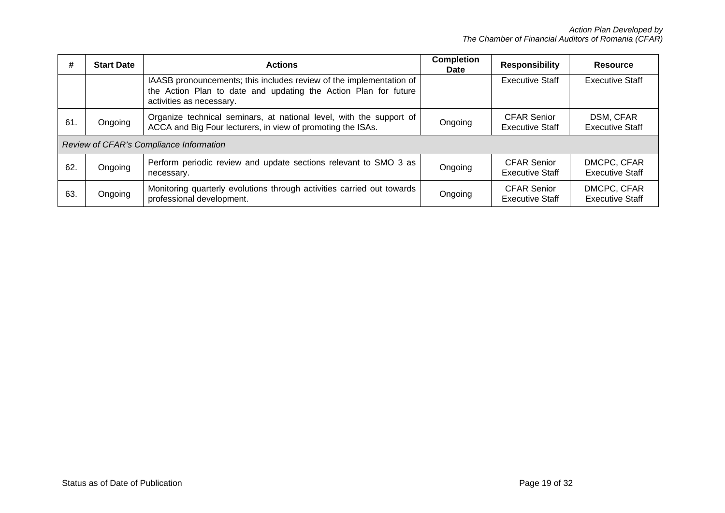| #   | <b>Start Date</b> | <b>Actions</b>                                                                                                                                                     | <b>Completion</b><br><b>Date</b> | <b>Responsibility</b>                        | <b>Resource</b>                       |
|-----|-------------------|--------------------------------------------------------------------------------------------------------------------------------------------------------------------|----------------------------------|----------------------------------------------|---------------------------------------|
|     |                   | IAASB pronouncements; this includes review of the implementation of<br>the Action Plan to date and updating the Action Plan for future<br>activities as necessary. |                                  | <b>Executive Staff</b>                       | <b>Executive Staff</b>                |
| 61. | Ongoing           | Organize technical seminars, at national level, with the support of<br>ACCA and Big Four lecturers, in view of promoting the ISAs.                                 | Ongoing                          | <b>CFAR Senior</b><br><b>Executive Staff</b> | DSM, CFAR<br><b>Executive Staff</b>   |
|     |                   | Review of CFAR's Compliance Information                                                                                                                            |                                  |                                              |                                       |
| 62. | Ongoing           | Perform periodic review and update sections relevant to SMO 3 as<br>necessary.                                                                                     | Ongoing                          | <b>CFAR Senior</b><br><b>Executive Staff</b> | DMCPC, CFAR<br><b>Executive Staff</b> |
| 63. | Ongoing           | Monitoring quarterly evolutions through activities carried out towards<br>professional development.                                                                | Ongoing                          | <b>CFAR Senior</b><br>Executive Staff        | DMCPC, CFAR<br><b>Executive Staff</b> |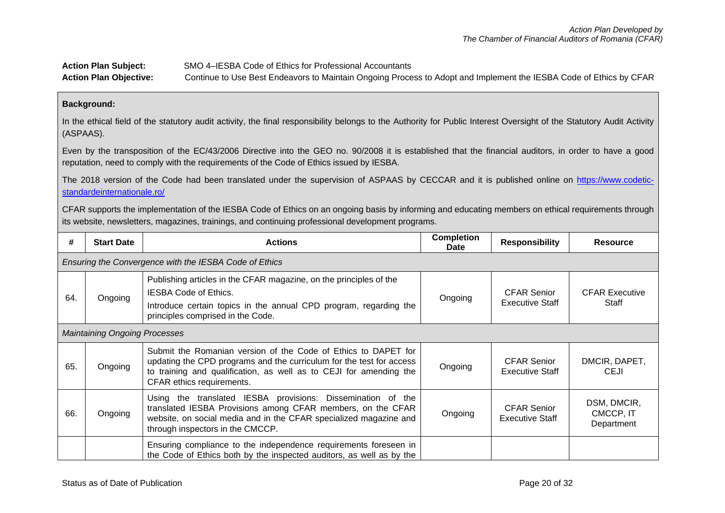# **Action Plan Subject:** SMO 4–IESBA Code of Ethics for Professional Accountants **Action Plan Objective:** Continue to Use Best Endeavors to Maintain Ongoing Process to Adopt and Implement the IESBA Code of Ethics by CFAR

### **Background:**

In the ethical field of the statutory audit activity, the final responsibility belongs to the Authority for Public Interest Oversight of the Statutory Audit Activity (ASPAAS).

Even by the transposition of the EC/43/2006 Directive into the GEO no. 90/2008 it is established that the financial auditors, in order to have a good reputation, need to comply with the requirements of the Code of Ethics issued by IESBA.

The 2018 version of the Code had been translated under the supervision of ASPAAS by CECCAR and it is published online on [https://www.codetic](https://www.codetic-standardeinternationale.ro/)[standardeinternationale.ro/](https://www.codetic-standardeinternationale.ro/)

CFAR supports the implementation of the IESBA Code of Ethics on an ongoing basis by informing and educating members on ethical requirements through its website, newsletters, magazines, trainings, and continuing professional development programs.

| #   | <b>Start Date</b>                    | <b>Actions</b>                                                                                                                                                                                                                            | <b>Completion</b><br><b>Date</b> | <b>Responsibility</b>                        | <b>Resource</b>                        |
|-----|--------------------------------------|-------------------------------------------------------------------------------------------------------------------------------------------------------------------------------------------------------------------------------------------|----------------------------------|----------------------------------------------|----------------------------------------|
|     |                                      | Ensuring the Convergence with the IESBA Code of Ethics                                                                                                                                                                                    |                                  |                                              |                                        |
| 64. | Ongoing                              | Publishing articles in the CFAR magazine, on the principles of the<br><b>IESBA Code of Ethics.</b><br>Introduce certain topics in the annual CPD program, regarding the<br>principles comprised in the Code.                              | Ongoing                          | <b>CFAR Senior</b><br><b>Executive Staff</b> | <b>CFAR Executive</b><br>Staff         |
|     | <b>Maintaining Ongoing Processes</b> |                                                                                                                                                                                                                                           |                                  |                                              |                                        |
| 65. | Ongoing                              | Submit the Romanian version of the Code of Ethics to DAPET for<br>updating the CPD programs and the curriculum for the test for access<br>to training and qualification, as well as to CEJI for amending the<br>CFAR ethics requirements. | Ongoing                          | <b>CFAR Senior</b><br><b>Executive Staff</b> | DMCIR, DAPET,<br><b>CEJI</b>           |
| 66. | Ongoing                              | Using the translated IESBA provisions: Dissemination of the<br>translated IESBA Provisions among CFAR members, on the CFAR<br>website, on social media and in the CFAR specialized magazine and<br>through inspectors in the CMCCP.       | Ongoing                          | <b>CFAR Senior</b><br><b>Executive Staff</b> | DSM, DMCIR,<br>CMCCP, IT<br>Department |
|     |                                      | Ensuring compliance to the independence requirements foreseen in<br>the Code of Ethics both by the inspected auditors, as well as by the                                                                                                  |                                  |                                              |                                        |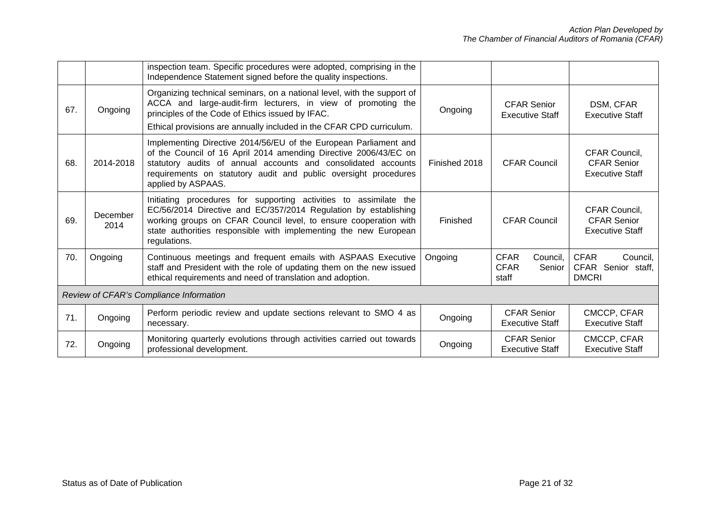|     |                  | inspection team. Specific procedures were adopted, comprising in the<br>Independence Statement signed before the quality inspections.                                                                                                                                                          |               |                                                           |                                                               |
|-----|------------------|------------------------------------------------------------------------------------------------------------------------------------------------------------------------------------------------------------------------------------------------------------------------------------------------|---------------|-----------------------------------------------------------|---------------------------------------------------------------|
| 67. | Ongoing          | Organizing technical seminars, on a national level, with the support of<br>ACCA and large-audit-firm lecturers, in view of promoting the<br>principles of the Code of Ethics issued by IFAC.<br>Ethical provisions are annually included in the CFAR CPD curriculum.                           | Ongoing       | <b>CFAR Senior</b><br><b>Executive Staff</b>              | DSM, CFAR<br><b>Executive Staff</b>                           |
| 68. | 2014-2018        | Implementing Directive 2014/56/EU of the European Parliament and<br>of the Council of 16 April 2014 amending Directive 2006/43/EC on<br>statutory audits of annual accounts and consolidated accounts<br>requirements on statutory audit and public oversight procedures<br>applied by ASPAAS. | Finished 2018 | <b>CFAR Council</b>                                       | CFAR Council,<br><b>CFAR Senior</b><br><b>Executive Staff</b> |
| 69. | December<br>2014 | Initiating procedures for supporting activities to assimilate the<br>EC/56/2014 Directive and EC/357/2014 Regulation by establishing<br>working groups on CFAR Council level, to ensure cooperation with<br>state authorities responsible with implementing the new European<br>regulations.   | Finished      | <b>CFAR Council</b>                                       | CFAR Council,<br><b>CFAR Senior</b><br><b>Executive Staff</b> |
| 70. | Ongoing          | Continuous meetings and frequent emails with ASPAAS Executive<br>staff and President with the role of updating them on the new issued<br>ethical requirements and need of translation and adoption.                                                                                            | Ongoing       | <b>CFAR</b><br>Council,<br><b>CFAR</b><br>Senior<br>staff | <b>CFAR</b><br>Council,<br>CFAR Senior staff,<br><b>DMCRI</b> |
|     |                  | Review of CFAR's Compliance Information                                                                                                                                                                                                                                                        |               |                                                           |                                                               |
| 71. | Ongoing          | Perform periodic review and update sections relevant to SMO 4 as<br>necessary.                                                                                                                                                                                                                 | Ongoing       | <b>CFAR Senior</b><br><b>Executive Staff</b>              | CMCCP, CFAR<br><b>Executive Staff</b>                         |
| 72. | Ongoing          | Monitoring quarterly evolutions through activities carried out towards<br>professional development.                                                                                                                                                                                            | Ongoing       | <b>CFAR Senior</b><br><b>Executive Staff</b>              | CMCCP, CFAR<br><b>Executive Staff</b>                         |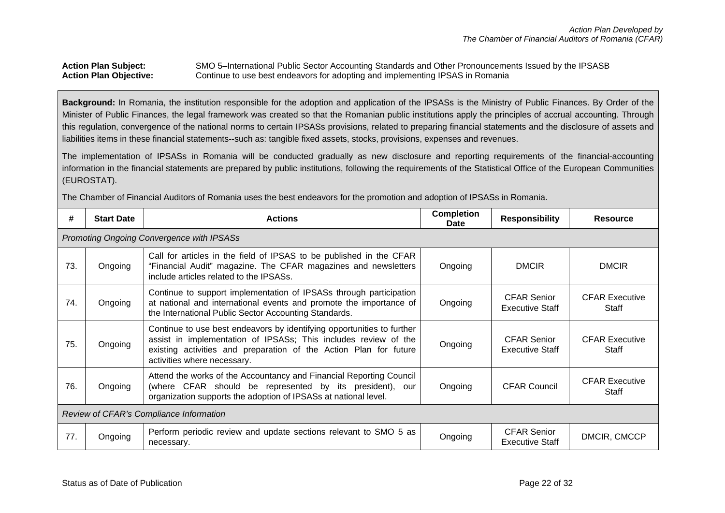### Action Plan Subject: SMO 5–International Public Sector Accounting Standards and Other Pronouncements Issued by the IPSASB<br>Action Plan Objective: Continue to use best endeavors for adopting and implementing IPSAS in Romania Continue to use best endeavors for adopting and implementing IPSAS in Romania

**Background:** In Romania, the institution responsible for the adoption and application of the IPSASs is the Ministry of Public Finances. By Order of the Minister of Public Finances, the legal framework was created so that the Romanian public institutions apply the principles of accrual accounting. Through this regulation, convergence of the national norms to certain IPSASs provisions, related to preparing financial statements and the disclosure of assets and liabilities items in these financial statements--such as: tangible fixed assets, stocks, provisions, expenses and revenues.

The implementation of IPSASs in Romania will be conducted gradually as new disclosure and reporting requirements of the financial-accounting information in the financial statements are prepared by public institutions, following the requirements of the Statistical Office of the European Communities (EUROSTAT).

The Chamber of Financial Auditors of Romania uses the best endeavors for the promotion and adoption of IPSASs in Romania.

| #   | <b>Start Date</b>                         | <b>Actions</b>                                                                                                                                                                                                                                | <b>Completion</b><br><b>Date</b> | <b>Responsibility</b>                        | <b>Resource</b>                |  |  |  |
|-----|-------------------------------------------|-----------------------------------------------------------------------------------------------------------------------------------------------------------------------------------------------------------------------------------------------|----------------------------------|----------------------------------------------|--------------------------------|--|--|--|
|     | Promoting Ongoing Convergence with IPSASs |                                                                                                                                                                                                                                               |                                  |                                              |                                |  |  |  |
| 73. | Ongoing                                   | Call for articles in the field of IPSAS to be published in the CFAR<br>"Financial Audit" magazine. The CFAR magazines and newsletters<br>include articles related to the IPSASs.                                                              | Ongoing                          | <b>DMCIR</b>                                 | <b>DMCIR</b>                   |  |  |  |
| 74. | Ongoing                                   | Continue to support implementation of IPSASs through participation<br>at national and international events and promote the importance of<br>the International Public Sector Accounting Standards.                                             | Ongoing                          | <b>CFAR Senior</b><br><b>Executive Staff</b> | <b>CFAR Executive</b><br>Staff |  |  |  |
| 75. | Ongoing                                   | Continue to use best endeavors by identifying opportunities to further<br>assist in implementation of IPSASs; This includes review of the<br>existing activities and preparation of the Action Plan for future<br>activities where necessary. | Ongoing                          | <b>CFAR Senior</b><br><b>Executive Staff</b> | <b>CFAR Executive</b><br>Staff |  |  |  |
| 76. | Ongoing                                   | Attend the works of the Accountancy and Financial Reporting Council<br>(where CFAR should be represented by its president), our<br>organization supports the adoption of IPSASs at national level.                                            | Ongoing                          | <b>CFAR Council</b>                          | <b>CFAR Executive</b><br>Staff |  |  |  |
|     | Review of CFAR's Compliance Information   |                                                                                                                                                                                                                                               |                                  |                                              |                                |  |  |  |
| 77. | Ongoing                                   | Perform periodic review and update sections relevant to SMO 5 as<br>necessary.                                                                                                                                                                | Ongoing                          | <b>CFAR Senior</b><br>Executive Staff        | DMCIR, CMCCP                   |  |  |  |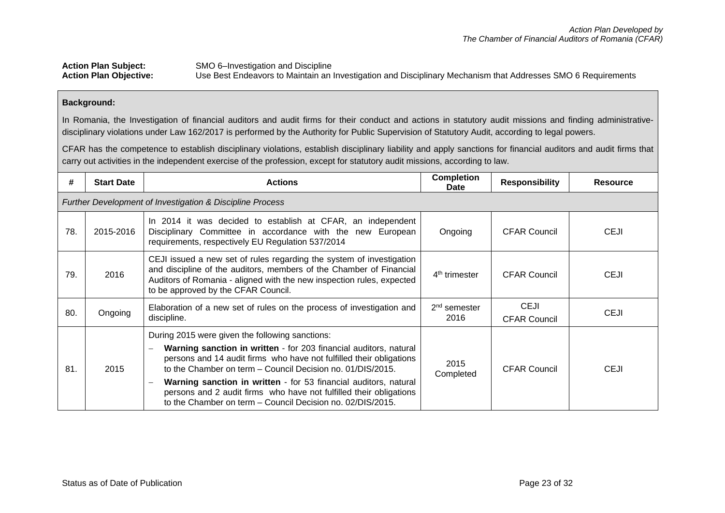### Action Plan Subject:<br>
Action Plan Objective:<br>
Use Best Endeavors to Maintain an **Action Plan Objective:** Use Best Endeavors to Maintain an Investigation and Disciplinary Mechanism that Addresses SMO 6 Requirements

### **Background:**

In Romania, the Investigation of financial auditors and audit firms for their conduct and actions in statutory audit missions and finding administrativedisciplinary violations under Law 162/2017 is performed by the Authority for Public Supervision of Statutory Audit, according to legal powers.

CFAR has the competence to establish disciplinary violations, establish disciplinary liability and apply sanctions for financial auditors and audit firms that carry out activities in the independent exercise of the profession, except for statutory audit missions, according to law.

| #   | <b>Start Date</b> | <b>Actions</b>                                                                                                                                                                                                                                                                                                                                                                                                                                                                                                            | <b>Completion</b><br>Date | <b>Responsibility</b>              | <b>Resource</b> |
|-----|-------------------|---------------------------------------------------------------------------------------------------------------------------------------------------------------------------------------------------------------------------------------------------------------------------------------------------------------------------------------------------------------------------------------------------------------------------------------------------------------------------------------------------------------------------|---------------------------|------------------------------------|-----------------|
|     |                   | <b>Further Development of Investigation &amp; Discipline Process</b>                                                                                                                                                                                                                                                                                                                                                                                                                                                      |                           |                                    |                 |
| 78. | 2015-2016         | In 2014 it was decided to establish at CFAR, an independent<br>Disciplinary Committee in accordance with the new European<br>requirements, respectively EU Regulation 537/2014                                                                                                                                                                                                                                                                                                                                            | Ongoing                   | <b>CFAR Council</b>                | <b>CEJI</b>     |
| 79. | 2016              | CEJI issued a new set of rules regarding the system of investigation<br>and discipline of the auditors, members of the Chamber of Financial<br>Auditors of Romania - aligned with the new inspection rules, expected<br>to be approved by the CFAR Council.                                                                                                                                                                                                                                                               | 4 <sup>th</sup> trimester | <b>CFAR Council</b>                | <b>CEJI</b>     |
| 80. | Ongoing           | Elaboration of a new set of rules on the process of investigation and<br>discipline.                                                                                                                                                                                                                                                                                                                                                                                                                                      | $2nd$ semester<br>2016    | <b>CEJI</b><br><b>CFAR Council</b> | <b>CEJI</b>     |
| 81. | 2015              | During 2015 were given the following sanctions:<br>Warning sanction in written - for 203 financial auditors, natural<br>$\overline{\phantom{0}}$<br>persons and 14 audit firms who have not fulfilled their obligations<br>to the Chamber on term – Council Decision no. 01/DIS/2015.<br>Warning sanction in written - for 53 financial auditors, natural<br>$\overline{\phantom{0}}$<br>persons and 2 audit firms who have not fulfilled their obligations<br>to the Chamber on term – Council Decision no. 02/DIS/2015. | 2015<br>Completed         | <b>CFAR Council</b>                | <b>CEJI</b>     |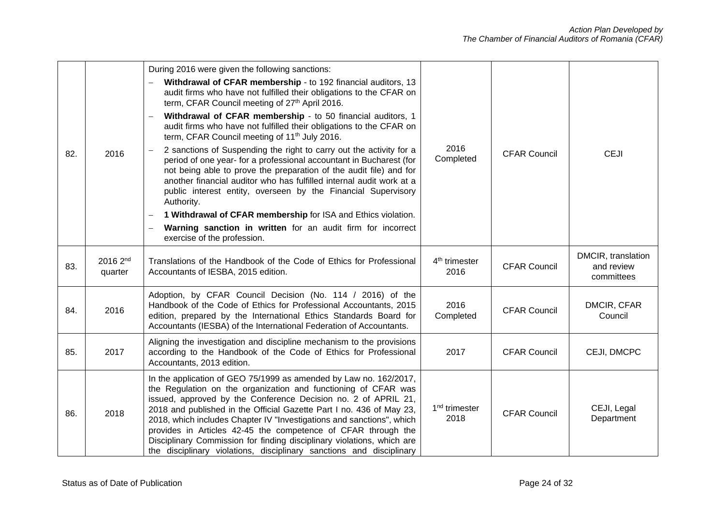| 82. | 2016                            | During 2016 were given the following sanctions:<br>Withdrawal of CFAR membership - to 192 financial auditors, 13<br>audit firms who have not fulfilled their obligations to the CFAR on<br>term, CFAR Council meeting of 27th April 2016.<br>Withdrawal of CFAR membership - to 50 financial auditors, 1<br>$\overline{\phantom{0}}$<br>audit firms who have not fulfilled their obligations to the CFAR on<br>term, CFAR Council meeting of 11 <sup>th</sup> July 2016.<br>2 sanctions of Suspending the right to carry out the activity for a<br>period of one year- for a professional accountant in Bucharest (for<br>not being able to prove the preparation of the audit file) and for<br>another financial auditor who has fulfilled internal audit work at a<br>public interest entity, overseen by the Financial Supervisory<br>Authority.<br>1 Withdrawal of CFAR membership for ISA and Ethics violation.<br>$\overline{\phantom{0}}$<br>Warning sanction in written for an audit firm for incorrect<br>$\overline{\phantom{0}}$<br>exercise of the profession. | 2016<br>Completed                 | <b>CFAR Council</b> | <b>CEJI</b>                                    |
|-----|---------------------------------|----------------------------------------------------------------------------------------------------------------------------------------------------------------------------------------------------------------------------------------------------------------------------------------------------------------------------------------------------------------------------------------------------------------------------------------------------------------------------------------------------------------------------------------------------------------------------------------------------------------------------------------------------------------------------------------------------------------------------------------------------------------------------------------------------------------------------------------------------------------------------------------------------------------------------------------------------------------------------------------------------------------------------------------------------------------------------|-----------------------------------|---------------------|------------------------------------------------|
| 83. | 2016 2 <sup>nd</sup><br>quarter | Translations of the Handbook of the Code of Ethics for Professional<br>Accountants of IESBA, 2015 edition.                                                                                                                                                                                                                                                                                                                                                                                                                                                                                                                                                                                                                                                                                                                                                                                                                                                                                                                                                                 | 4 <sup>th</sup> trimester<br>2016 | <b>CFAR Council</b> | DMCIR, translation<br>and review<br>committees |
| 84. | 2016                            | Adoption, by CFAR Council Decision (No. 114 / 2016) of the<br>Handbook of the Code of Ethics for Professional Accountants, 2015<br>edition, prepared by the International Ethics Standards Board for<br>Accountants (IESBA) of the International Federation of Accountants.                                                                                                                                                                                                                                                                                                                                                                                                                                                                                                                                                                                                                                                                                                                                                                                                | 2016<br>Completed                 | <b>CFAR Council</b> | DMCIR, CFAR<br>Council                         |
| 85. | 2017                            | Aligning the investigation and discipline mechanism to the provisions<br>according to the Handbook of the Code of Ethics for Professional<br>Accountants, 2013 edition.                                                                                                                                                                                                                                                                                                                                                                                                                                                                                                                                                                                                                                                                                                                                                                                                                                                                                                    | 2017                              | <b>CFAR Council</b> | CEJI, DMCPC                                    |
| 86. | 2018                            | In the application of GEO 75/1999 as amended by Law no. 162/2017,<br>the Regulation on the organization and functioning of CFAR was<br>issued, approved by the Conference Decision no. 2 of APRIL 21,<br>2018 and published in the Official Gazette Part I no. 436 of May 23,<br>2018, which includes Chapter IV "Investigations and sanctions", which<br>provides in Articles 42-45 the competence of CFAR through the<br>Disciplinary Commission for finding disciplinary violations, which are<br>the disciplinary violations, disciplinary sanctions and disciplinary                                                                                                                                                                                                                                                                                                                                                                                                                                                                                                  | 1 <sup>nd</sup> trimester<br>2018 | <b>CFAR Council</b> | CEJI, Legal<br>Department                      |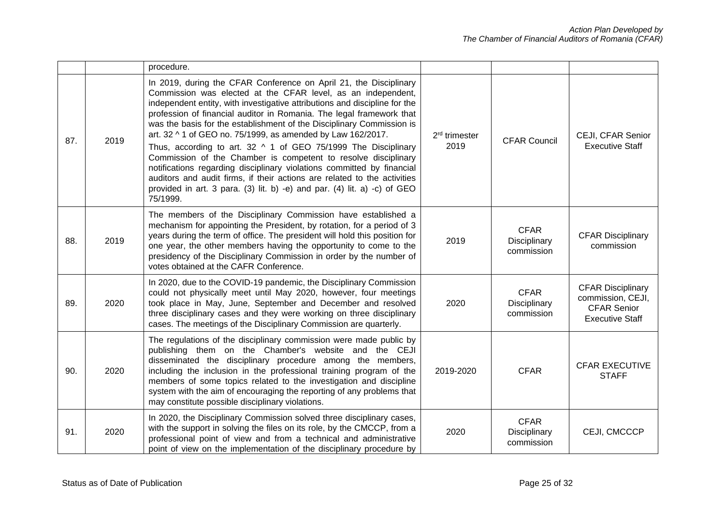|     |      | procedure.                                                                                                                                                                                                                                                                                                                                                                                                                                                                                                                                                                                                                                                                                                                                                                                                        |                                   |                                           |                                                                                               |
|-----|------|-------------------------------------------------------------------------------------------------------------------------------------------------------------------------------------------------------------------------------------------------------------------------------------------------------------------------------------------------------------------------------------------------------------------------------------------------------------------------------------------------------------------------------------------------------------------------------------------------------------------------------------------------------------------------------------------------------------------------------------------------------------------------------------------------------------------|-----------------------------------|-------------------------------------------|-----------------------------------------------------------------------------------------------|
| 87. | 2019 | In 2019, during the CFAR Conference on April 21, the Disciplinary<br>Commission was elected at the CFAR level, as an independent,<br>independent entity, with investigative attributions and discipline for the<br>profession of financial auditor in Romania. The legal framework that<br>was the basis for the establishment of the Disciplinary Commission is<br>art. 32 ^ 1 of GEO no. 75/1999, as amended by Law 162/2017.<br>Thus, according to art. 32 ^ 1 of GEO 75/1999 The Disciplinary<br>Commission of the Chamber is competent to resolve disciplinary<br>notifications regarding disciplinary violations committed by financial<br>auditors and audit firms, if their actions are related to the activities<br>provided in art. 3 para. (3) lit. b) -e) and par. (4) lit. a) -c) of GEO<br>75/1999. | 2 <sup>rd</sup> trimester<br>2019 | <b>CFAR Council</b>                       | CEJI, CFAR Senior<br><b>Executive Staff</b>                                                   |
| 88. | 2019 | The members of the Disciplinary Commission have established a<br>mechanism for appointing the President, by rotation, for a period of 3<br>years during the term of office. The president will hold this position for<br>one year, the other members having the opportunity to come to the<br>presidency of the Disciplinary Commission in order by the number of<br>votes obtained at the CAFR Conference.                                                                                                                                                                                                                                                                                                                                                                                                       | 2019                              | <b>CFAR</b><br>Disciplinary<br>commission | <b>CFAR Disciplinary</b><br>commission                                                        |
| 89. | 2020 | In 2020, due to the COVID-19 pandemic, the Disciplinary Commission<br>could not physically meet until May 2020, however, four meetings<br>took place in May, June, September and December and resolved<br>three disciplinary cases and they were working on three disciplinary<br>cases. The meetings of the Disciplinary Commission are quarterly.                                                                                                                                                                                                                                                                                                                                                                                                                                                               | 2020                              | <b>CFAR</b><br>Disciplinary<br>commission | <b>CFAR Disciplinary</b><br>commission, CEJI,<br><b>CFAR Senior</b><br><b>Executive Staff</b> |
| 90. | 2020 | The regulations of the disciplinary commission were made public by<br>publishing them on the Chamber's website and the CEJI<br>disseminated the disciplinary procedure among the members,<br>including the inclusion in the professional training program of the<br>members of some topics related to the investigation and discipline<br>system with the aim of encouraging the reporting of any problems that<br>may constitute possible disciplinary violations.                                                                                                                                                                                                                                                                                                                                               | 2019-2020                         | <b>CFAR</b>                               | <b>CFAR EXECUTIVE</b><br><b>STAFF</b>                                                         |
| 91. | 2020 | In 2020, the Disciplinary Commission solved three disciplinary cases,<br>with the support in solving the files on its role, by the CMCCP, from a<br>professional point of view and from a technical and administrative<br>point of view on the implementation of the disciplinary procedure by                                                                                                                                                                                                                                                                                                                                                                                                                                                                                                                    | 2020                              | <b>CFAR</b><br>Disciplinary<br>commission | CEJI, CMCCCP                                                                                  |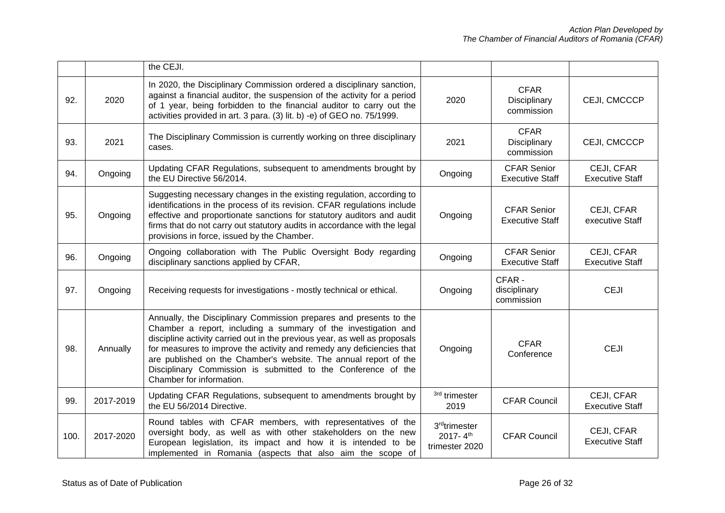|      |           | the CEJI.                                                                                                                                                                                                                                                                                                                                                                                                                                                    |                                                               |                                              |                                      |
|------|-----------|--------------------------------------------------------------------------------------------------------------------------------------------------------------------------------------------------------------------------------------------------------------------------------------------------------------------------------------------------------------------------------------------------------------------------------------------------------------|---------------------------------------------------------------|----------------------------------------------|--------------------------------------|
| 92.  | 2020      | In 2020, the Disciplinary Commission ordered a disciplinary sanction,<br>against a financial auditor, the suspension of the activity for a period<br>of 1 year, being forbidden to the financial auditor to carry out the<br>activities provided in art. 3 para. (3) lit. b) -e) of GEO no. 75/1999.                                                                                                                                                         | 2020                                                          | <b>CFAR</b><br>Disciplinary<br>commission    | CEJI, CMCCCP                         |
| 93.  | 2021      | The Disciplinary Commission is currently working on three disciplinary<br>cases.                                                                                                                                                                                                                                                                                                                                                                             | 2021                                                          | <b>CFAR</b><br>Disciplinary<br>commission    | CEJI, CMCCCP                         |
| 94.  | Ongoing   | Updating CFAR Regulations, subsequent to amendments brought by<br>the EU Directive 56/2014.                                                                                                                                                                                                                                                                                                                                                                  | Ongoing                                                       | <b>CFAR Senior</b><br><b>Executive Staff</b> | CEJI, CFAR<br><b>Executive Staff</b> |
| 95.  | Ongoing   | Suggesting necessary changes in the existing regulation, according to<br>identifications in the process of its revision. CFAR regulations include<br>effective and proportionate sanctions for statutory auditors and audit<br>firms that do not carry out statutory audits in accordance with the legal<br>provisions in force, issued by the Chamber.                                                                                                      | Ongoing                                                       | <b>CFAR Senior</b><br><b>Executive Staff</b> | CEJI, CFAR<br>executive Staff        |
| 96.  | Ongoing   | Ongoing collaboration with The Public Oversight Body regarding<br>disciplinary sanctions applied by CFAR,                                                                                                                                                                                                                                                                                                                                                    | Ongoing                                                       | <b>CFAR Senior</b><br><b>Executive Staff</b> | CEJI, CFAR<br><b>Executive Staff</b> |
| 97.  | Ongoing   | Receiving requests for investigations - mostly technical or ethical.                                                                                                                                                                                                                                                                                                                                                                                         | Ongoing                                                       | CFAR -<br>disciplinary<br>commission         | <b>CEJI</b>                          |
| 98.  | Annually  | Annually, the Disciplinary Commission prepares and presents to the<br>Chamber a report, including a summary of the investigation and<br>discipline activity carried out in the previous year, as well as proposals<br>for measures to improve the activity and remedy any deficiencies that<br>are published on the Chamber's website. The annual report of the<br>Disciplinary Commission is submitted to the Conference of the<br>Chamber for information. | Ongoing                                                       | <b>CFAR</b><br>Conference                    | <b>CEJI</b>                          |
| 99.  | 2017-2019 | Updating CFAR Regulations, subsequent to amendments brought by<br>the EU 56/2014 Directive.                                                                                                                                                                                                                                                                                                                                                                  | <sup>3rd</sup> trimester<br>2019                              | <b>CFAR Council</b>                          | CEJI, CFAR<br><b>Executive Staff</b> |
| 100. | 2017-2020 | Round tables with CFAR members, with representatives of the<br>oversight body, as well as with other stakeholders on the new<br>European legislation, its impact and how it is intended to be<br>implemented in Romania (aspects that also aim the scope of                                                                                                                                                                                                  | 3 <sup>rd</sup> trimester<br>2017- $4^{th}$<br>trimester 2020 | <b>CFAR Council</b>                          | CEJI, CFAR<br><b>Executive Staff</b> |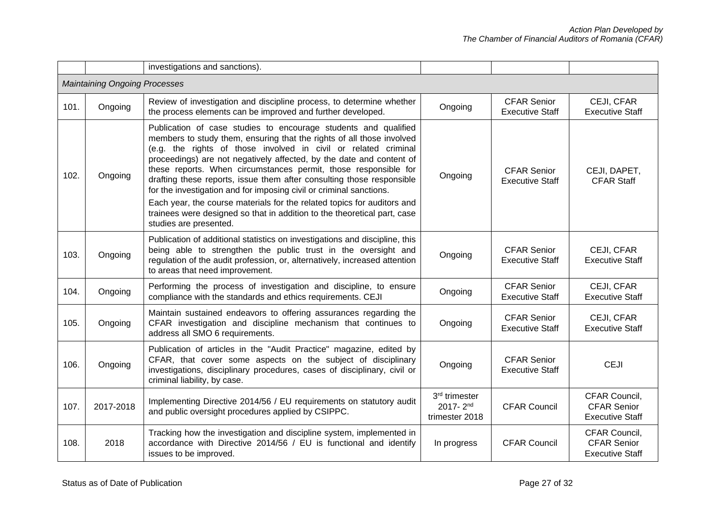|      |                                      | investigations and sanctions).                                                                                                                                                                                                                                                                                                                                                                                                                                                                                                                                                                                                                                                          |                                                    |                                              |                                                               |
|------|--------------------------------------|-----------------------------------------------------------------------------------------------------------------------------------------------------------------------------------------------------------------------------------------------------------------------------------------------------------------------------------------------------------------------------------------------------------------------------------------------------------------------------------------------------------------------------------------------------------------------------------------------------------------------------------------------------------------------------------------|----------------------------------------------------|----------------------------------------------|---------------------------------------------------------------|
|      | <b>Maintaining Ongoing Processes</b> |                                                                                                                                                                                                                                                                                                                                                                                                                                                                                                                                                                                                                                                                                         |                                                    |                                              |                                                               |
| 101. | Ongoing                              | Review of investigation and discipline process, to determine whether<br>the process elements can be improved and further developed.                                                                                                                                                                                                                                                                                                                                                                                                                                                                                                                                                     | Ongoing                                            | <b>CFAR Senior</b><br><b>Executive Staff</b> | CEJI, CFAR<br><b>Executive Staff</b>                          |
| 102. | Ongoing                              | Publication of case studies to encourage students and qualified<br>members to study them, ensuring that the rights of all those involved<br>(e.g. the rights of those involved in civil or related criminal<br>proceedings) are not negatively affected, by the date and content of<br>these reports. When circumstances permit, those responsible for<br>drafting these reports, issue them after consulting those responsible<br>for the investigation and for imposing civil or criminal sanctions.<br>Each year, the course materials for the related topics for auditors and<br>trainees were designed so that in addition to the theoretical part, case<br>studies are presented. | Ongoing                                            | <b>CFAR Senior</b><br><b>Executive Staff</b> | CEJI, DAPET,<br><b>CFAR Staff</b>                             |
| 103. | Ongoing                              | Publication of additional statistics on investigations and discipline, this<br>being able to strengthen the public trust in the oversight and<br>regulation of the audit profession, or, alternatively, increased attention<br>to areas that need improvement.                                                                                                                                                                                                                                                                                                                                                                                                                          | Ongoing                                            | <b>CFAR Senior</b><br><b>Executive Staff</b> | CEJI, CFAR<br><b>Executive Staff</b>                          |
| 104. | Ongoing                              | Performing the process of investigation and discipline, to ensure<br>compliance with the standards and ethics requirements. CEJI                                                                                                                                                                                                                                                                                                                                                                                                                                                                                                                                                        | Ongoing                                            | <b>CFAR Senior</b><br><b>Executive Staff</b> | CEJI, CFAR<br><b>Executive Staff</b>                          |
| 105. | Ongoing                              | Maintain sustained endeavors to offering assurances regarding the<br>CFAR investigation and discipline mechanism that continues to<br>address all SMO 6 requirements.                                                                                                                                                                                                                                                                                                                                                                                                                                                                                                                   | Ongoing                                            | <b>CFAR Senior</b><br><b>Executive Staff</b> | CEJI, CFAR<br><b>Executive Staff</b>                          |
| 106. | Ongoing                              | Publication of articles in the "Audit Practice" magazine, edited by<br>CFAR, that cover some aspects on the subject of disciplinary<br>investigations, disciplinary procedures, cases of disciplinary, civil or<br>criminal liability, by case.                                                                                                                                                                                                                                                                                                                                                                                                                                         | Ongoing                                            | <b>CFAR Senior</b><br><b>Executive Staff</b> | <b>CEJI</b>                                                   |
| 107. | 2017-2018                            | Implementing Directive 2014/56 / EU requirements on statutory audit<br>and public oversight procedures applied by CSIPPC.                                                                                                                                                                                                                                                                                                                                                                                                                                                                                                                                                               | 3rd trimester<br>$2017 - 2^{nd}$<br>trimester 2018 | <b>CFAR Council</b>                          | CFAR Council,<br><b>CFAR Senior</b><br><b>Executive Staff</b> |
| 108. | 2018                                 | Tracking how the investigation and discipline system, implemented in<br>accordance with Directive 2014/56 / EU is functional and identify<br>issues to be improved.                                                                                                                                                                                                                                                                                                                                                                                                                                                                                                                     | In progress                                        | <b>CFAR Council</b>                          | CFAR Council,<br><b>CFAR Senior</b><br><b>Executive Staff</b> |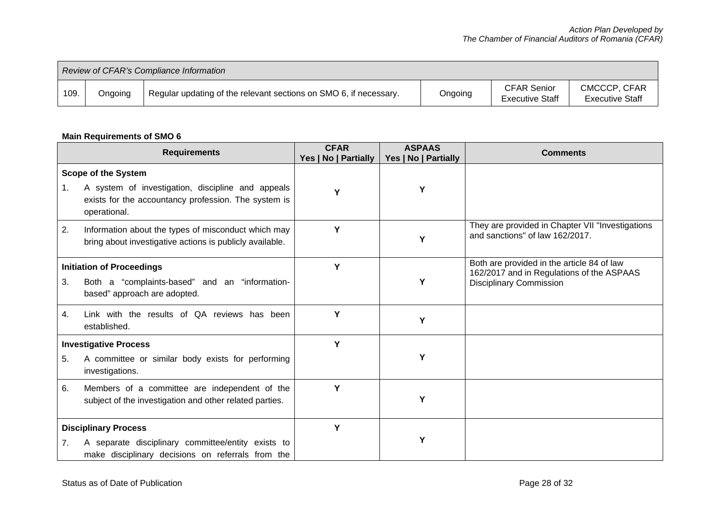| Review of CFAR's Compliance Information |         |                                                                   |         |                                              |                                        |  |
|-----------------------------------------|---------|-------------------------------------------------------------------|---------|----------------------------------------------|----------------------------------------|--|
| 109.                                    | Ongoing | Regular updating of the relevant sections on SMO 6, if necessary. | Ongoing | <b>CFAR Senior</b><br><b>Executive Staff</b> | CMCCCP, CFAR<br><b>Executive Staff</b> |  |

# **Main Requirements of SMO 6**

| <b>Requirements</b>                                                                                                                          |                                                                                                                                                         | <b>CFAR</b><br>Yes   No   Partially | <b>ASPAAS</b><br>Yes   No   Partially | <b>Comments</b>                                                                                                           |
|----------------------------------------------------------------------------------------------------------------------------------------------|---------------------------------------------------------------------------------------------------------------------------------------------------------|-------------------------------------|---------------------------------------|---------------------------------------------------------------------------------------------------------------------------|
| 1.                                                                                                                                           | <b>Scope of the System</b><br>A system of investigation, discipline and appeals<br>exists for the accountancy profession. The system is<br>operational. | Υ                                   | Υ                                     |                                                                                                                           |
| 2.                                                                                                                                           | Information about the types of misconduct which may<br>bring about investigative actions is publicly available.                                         | Υ                                   | Υ                                     | They are provided in Chapter VII "Investigations<br>and sanctions" of law 162/2017.                                       |
| 3.                                                                                                                                           | <b>Initiation of Proceedings</b><br>Both a "complaints-based" and an "information-<br>based" approach are adopted.                                      | Y                                   | Υ                                     | Both are provided in the article 84 of law<br>162/2017 and in Regulations of the ASPAAS<br><b>Disciplinary Commission</b> |
| 4.                                                                                                                                           | Link with the results of QA reviews has been<br>established.                                                                                            | Υ                                   | Y                                     |                                                                                                                           |
| <b>Investigative Process</b><br>A committee or similar body exists for performing<br>5.<br>investigations.                                   |                                                                                                                                                         | Y                                   | Υ                                     |                                                                                                                           |
| 6.                                                                                                                                           | Members of a committee are independent of the<br>subject of the investigation and other related parties.                                                | Y                                   | Υ                                     |                                                                                                                           |
| <b>Disciplinary Process</b><br>A separate disciplinary committee/entity exists to<br>7.<br>make disciplinary decisions on referrals from the |                                                                                                                                                         | Y                                   | Υ                                     |                                                                                                                           |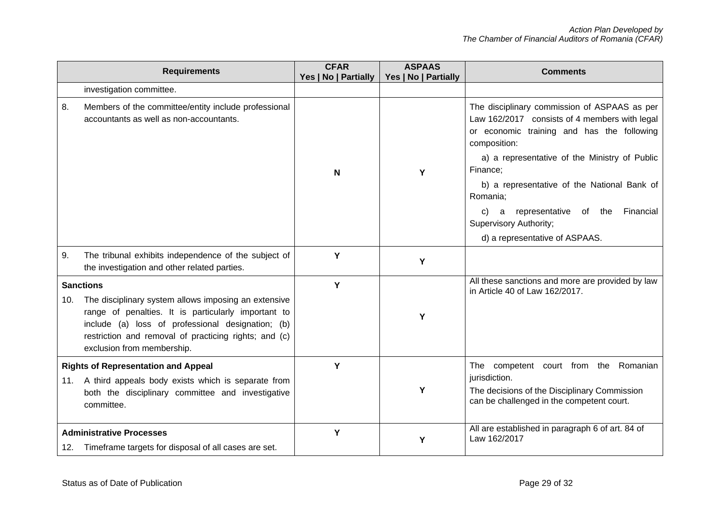| <b>Requirements</b> |                                                                                                                                                                                                                                                         | <b>CFAR</b><br>Yes   No   Partially | <b>ASPAAS</b><br>Yes   No   Partially | <b>Comments</b>                                                                                                                                             |
|---------------------|---------------------------------------------------------------------------------------------------------------------------------------------------------------------------------------------------------------------------------------------------------|-------------------------------------|---------------------------------------|-------------------------------------------------------------------------------------------------------------------------------------------------------------|
|                     | investigation committee.                                                                                                                                                                                                                                |                                     |                                       |                                                                                                                                                             |
| 8.                  | Members of the committee/entity include professional<br>accountants as well as non-accountants.                                                                                                                                                         |                                     |                                       | The disciplinary commission of ASPAAS as per<br>Law 162/2017 consists of 4 members with legal<br>or economic training and has the following<br>composition: |
|                     |                                                                                                                                                                                                                                                         | N                                   | Υ                                     | a) a representative of the Ministry of Public<br>Finance;                                                                                                   |
|                     |                                                                                                                                                                                                                                                         |                                     |                                       | b) a representative of the National Bank of<br>Romania;                                                                                                     |
|                     |                                                                                                                                                                                                                                                         |                                     |                                       | c) a representative<br>of the<br>Financial<br><b>Supervisory Authority;</b>                                                                                 |
|                     |                                                                                                                                                                                                                                                         |                                     |                                       | d) a representative of ASPAAS.                                                                                                                              |
| 9.                  | The tribunal exhibits independence of the subject of<br>the investigation and other related parties.                                                                                                                                                    | Y                                   | Y                                     |                                                                                                                                                             |
| <b>Sanctions</b>    |                                                                                                                                                                                                                                                         | Y                                   |                                       | All these sanctions and more are provided by law<br>in Article 40 of Law 162/2017.                                                                          |
| 10.                 | The disciplinary system allows imposing an extensive<br>range of penalties. It is particularly important to<br>include (a) loss of professional designation; (b)<br>restriction and removal of practicing rights; and (c)<br>exclusion from membership. |                                     | Y                                     |                                                                                                                                                             |
|                     | <b>Rights of Representation and Appeal</b>                                                                                                                                                                                                              | Y                                   |                                       | The competent court from the Romanian                                                                                                                       |
|                     | 11. A third appeals body exists which is separate from<br>both the disciplinary committee and investigative<br>committee.                                                                                                                               |                                     | Y                                     | jurisdiction.<br>The decisions of the Disciplinary Commission<br>can be challenged in the competent court.                                                  |
|                     | <b>Administrative Processes</b><br>12. Timeframe targets for disposal of all cases are set.                                                                                                                                                             | Y                                   | Y                                     | All are established in paragraph 6 of art. 84 of<br>Law 162/2017                                                                                            |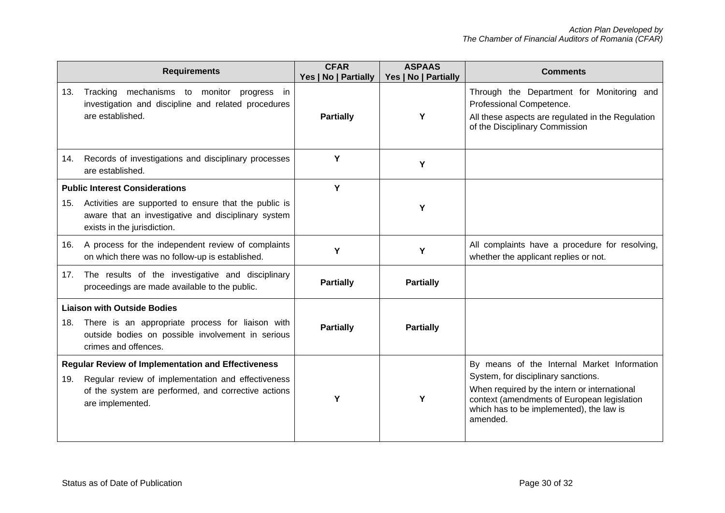|     | <b>Requirements</b>                                                                                                                                                                        | <b>CFAR</b><br>Yes   No   Partially | <b>ASPAAS</b><br>Yes   No   Partially | <b>Comments</b>                                                                                                                                                                                                                           |
|-----|--------------------------------------------------------------------------------------------------------------------------------------------------------------------------------------------|-------------------------------------|---------------------------------------|-------------------------------------------------------------------------------------------------------------------------------------------------------------------------------------------------------------------------------------------|
| 13. | Tracking mechanisms to monitor<br>progress in<br>investigation and discipline and related procedures<br>are established.                                                                   | <b>Partially</b>                    | Y                                     | Through the Department for Monitoring and<br>Professional Competence.<br>All these aspects are regulated in the Regulation<br>of the Disciplinary Commission                                                                              |
| 14. | Records of investigations and disciplinary processes<br>are established.                                                                                                                   | Y                                   | Υ                                     |                                                                                                                                                                                                                                           |
|     | <b>Public Interest Considerations</b>                                                                                                                                                      | Y                                   |                                       |                                                                                                                                                                                                                                           |
| 15. | Activities are supported to ensure that the public is<br>aware that an investigative and disciplinary system<br>exists in the jurisdiction.                                                |                                     | Υ                                     |                                                                                                                                                                                                                                           |
|     | 16. A process for the independent review of complaints<br>on which there was no follow-up is established.                                                                                  | Υ                                   | Y                                     | All complaints have a procedure for resolving,<br>whether the applicant replies or not.                                                                                                                                                   |
| 17. | The results of the investigative and disciplinary<br>proceedings are made available to the public.                                                                                         | <b>Partially</b>                    | <b>Partially</b>                      |                                                                                                                                                                                                                                           |
| 18. | <b>Liaison with Outside Bodies</b><br>There is an appropriate process for liaison with<br>outside bodies on possible involvement in serious<br>crimes and offences.                        | <b>Partially</b>                    | <b>Partially</b>                      |                                                                                                                                                                                                                                           |
| 19. | <b>Regular Review of Implementation and Effectiveness</b><br>Regular review of implementation and effectiveness<br>of the system are performed, and corrective actions<br>are implemented. | Υ                                   | Υ                                     | By means of the Internal Market Information<br>System, for disciplinary sanctions.<br>When required by the intern or international<br>context (amendments of European legislation<br>which has to be implemented), the law is<br>amended. |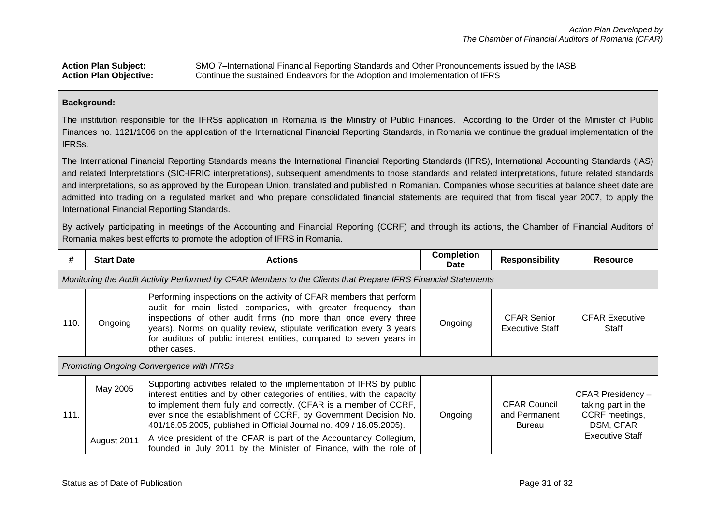Action Plan Subject: SMO 7–International Financial Reporting Standards and Other Pronouncements issued by the IASB<br>Action Plan Objective: Continue the sustained Endeavors for the Adoption and Implementation of IFRS Continue the sustained Endeavors for the Adoption and Implementation of IFRS

### **Background:**

The institution responsible for the IFRSs application in Romania is the Ministry of Public Finances. According to the Order of the Minister of Public Finances no. 1121/1006 on the application of the International Financial Reporting Standards, in Romania we continue the gradual implementation of the IFRSs.

The International Financial Reporting Standards means the International Financial Reporting Standards (IFRS), International Accounting Standards (IAS) and related Interpretations (SIC-IFRIC interpretations), subsequent amendments to those standards and related interpretations, future related standards and interpretations, so as approved by the European Union, translated and published in Romanian. Companies whose securities at balance sheet date are admitted into trading on a regulated market and who prepare consolidated financial statements are required that from fiscal year 2007, to apply the International Financial Reporting Standards.

By actively participating in meetings of the Accounting and Financial Reporting (CCRF) and through its actions, the Chamber of Financial Auditors of Romania makes best efforts to promote the adoption of IFRS in Romania.

| #    | <b>Start Date</b>                                                                                             | <b>Actions</b>                                                                                                                                                                                                                                                                                                                                                                                                                           | <b>Completion</b><br><b>Date</b> | <b>Responsibility</b>                          | <b>Resource</b>                                                                                  |  |  |
|------|---------------------------------------------------------------------------------------------------------------|------------------------------------------------------------------------------------------------------------------------------------------------------------------------------------------------------------------------------------------------------------------------------------------------------------------------------------------------------------------------------------------------------------------------------------------|----------------------------------|------------------------------------------------|--------------------------------------------------------------------------------------------------|--|--|
|      | Monitoring the Audit Activity Performed by CFAR Members to the Clients that Prepare IFRS Financial Statements |                                                                                                                                                                                                                                                                                                                                                                                                                                          |                                  |                                                |                                                                                                  |  |  |
| 110. | Ongoing                                                                                                       | Performing inspections on the activity of CFAR members that perform<br>audit for main listed companies, with greater frequency than<br>inspections of other audit firms (no more than once every three<br>years). Norms on quality review, stipulate verification every 3 years<br>for auditors of public interest entities, compared to seven years in<br>other cases.                                                                  |                                  | <b>CFAR Senior</b><br>Executive Staff          | <b>CFAR Executive</b><br>Staff                                                                   |  |  |
|      | Promoting Ongoing Convergence with IFRSs                                                                      |                                                                                                                                                                                                                                                                                                                                                                                                                                          |                                  |                                                |                                                                                                  |  |  |
| 111. | May 2005                                                                                                      | Supporting activities related to the implementation of IFRS by public<br>interest entities and by other categories of entities, with the capacity<br>to implement them fully and correctly. (CFAR is a member of CCRF,<br>ever since the establishment of CCRF, by Government Decision No.<br>401/16.05.2005, published in Official Journal no. 409 / 16.05.2005).<br>A vice president of the CFAR is part of the Accountancy Collegium, | Ongoing                          | <b>CFAR Council</b><br>and Permanent<br>Bureau | CFAR Presidency -<br>taking part in the<br>CCRF meetings,<br>DSM, CFAR<br><b>Executive Staff</b> |  |  |
|      | August 2011                                                                                                   | founded in July 2011 by the Minister of Finance, with the role of                                                                                                                                                                                                                                                                                                                                                                        |                                  |                                                |                                                                                                  |  |  |